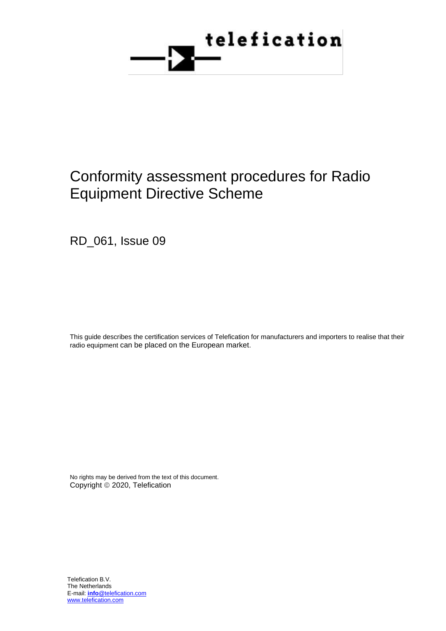

# Conformity assessment procedures for Radio Equipment Directive Scheme

RD\_061, Issue 09

This guide describes the certification services of Telefication for manufacturers and importers to realise that their radio equipment can be placed on the European market.

No rights may be derived from the text of this document. Copyright © 2020, Telefication

Telefication B.V. The Netherlands E-mail: **info**@telefication.com www.telefication.com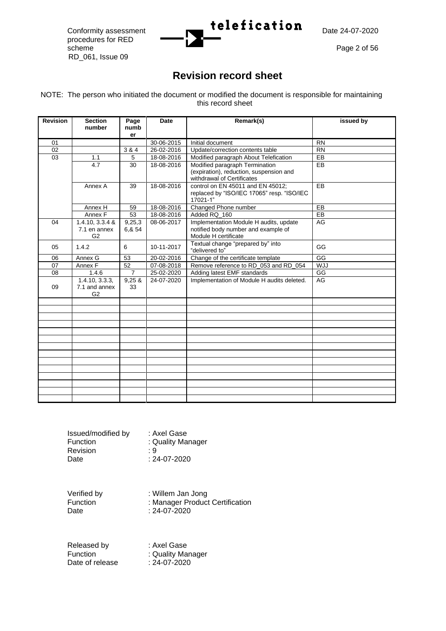procedures for RED scheme Page 2 of 56 RD\_061, Issue 09



## **Revision record sheet**

NOTE: The person who initiated the document or modified the document is responsible for maintaining this record sheet

| <b>Revision</b> | <b>Section</b>                           | Page             | <b>Date</b> | Remark(s)                                                                                               | issued by  |
|-----------------|------------------------------------------|------------------|-------------|---------------------------------------------------------------------------------------------------------|------------|
|                 | number                                   | numb             |             |                                                                                                         |            |
|                 |                                          | er               |             |                                                                                                         |            |
| 01              |                                          |                  | 30-06-2015  | Initial document                                                                                        | <b>RN</b>  |
| 02              |                                          | 3 & 4            | 26-02-2016  | Update/correction contents table                                                                        | <b>RN</b>  |
| 03              | 1.1                                      | 5                | 18-08-2016  | Modified paragraph About Telefication                                                                   | EB         |
|                 | 4.7                                      | 30               | 18-08-2016  | Modified paragraph Termination<br>(expiration), reduction, suspension and<br>withdrawal of Certificates | <b>EB</b>  |
|                 | Annex A                                  | 39               | 18-08-2016  | control on EN 45011 and EN 45012;<br>replaced by "ISO/IEC 17065" resp. "ISO/IEC<br>17021-1"             | <b>EB</b>  |
|                 | Annex H                                  | 59               | 18-08-2016  | Changed Phone number                                                                                    | EB         |
|                 | Annex F                                  | 53               | 18-08-2016  | Added RQ_160                                                                                            | EB         |
| 04              | $1.4.10, 3.3.4 \&$<br>7.1 en annex<br>G2 | 9,25,3<br>6,& 54 | 08-06-2017  | Implementation Module H audits, update<br>notified body number and example of<br>Module H certificate   | <b>AG</b>  |
| 05              | 1.4.2                                    | 6                | 10-11-2017  | Textual change "prepared by" into<br>"delivered to"                                                     | GG         |
| 06              | Annex G                                  | 53               | 20-02-2016  | Change of the certificate template                                                                      | GG         |
| 07              | Annex F                                  | 52               | 07-08-2018  | Remove reference to RD 053 and RD 054                                                                   | <b>WJJ</b> |
| 08              | 1.4.6                                    | $\overline{7}$   | 25-02-2020  | Adding latest EMF standards                                                                             | GG         |
| 09              | 1.4.10, 3.3.3,<br>7.1 and annex<br>G2    | 9,25 &<br>33     | 24-07-2020  | Implementation of Module H audits deleted.                                                              | <b>AG</b>  |
|                 |                                          |                  |             |                                                                                                         |            |
|                 |                                          |                  |             |                                                                                                         |            |
|                 |                                          |                  |             |                                                                                                         |            |
|                 |                                          |                  |             |                                                                                                         |            |
|                 |                                          |                  |             |                                                                                                         |            |
|                 |                                          |                  |             |                                                                                                         |            |
|                 |                                          |                  |             |                                                                                                         |            |
|                 |                                          |                  |             |                                                                                                         |            |
|                 |                                          |                  |             |                                                                                                         |            |
|                 |                                          |                  |             |                                                                                                         |            |
|                 |                                          |                  |             |                                                                                                         |            |
|                 |                                          |                  |             |                                                                                                         |            |
|                 |                                          |                  |             |                                                                                                         |            |
|                 |                                          |                  |             |                                                                                                         |            |

| Issued/modified by<br>Function | : Axel Gase<br>: Quality Manager |
|--------------------------------|----------------------------------|
| Revision                       | : 9                              |
| Date                           | $: 24 - 07 - 2020$               |

Verified by : Willem Jan Jong Function : Manager Product Certification Date : 24-07-2020

Released by : Axel Gase<br>
Function : Quality Ma Date of release

: Quality Manager<br>: 24-07-2020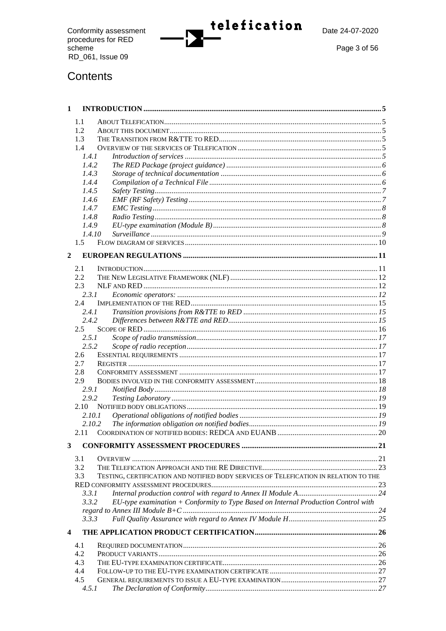Conformity assessment<br>procedures for RED<br>scheme RD\_061, Issue 09



 $\Gamma$ 

Page 3 of 56

## Contents

| $\mathbf{1}$            |               |                                                                                      |  |
|-------------------------|---------------|--------------------------------------------------------------------------------------|--|
|                         | 1.1           |                                                                                      |  |
|                         | 1.2           |                                                                                      |  |
|                         | 1.3           |                                                                                      |  |
|                         | 1.4           |                                                                                      |  |
|                         | 1.4.1         |                                                                                      |  |
|                         | 1.4.2         |                                                                                      |  |
|                         | 1.4.3         |                                                                                      |  |
|                         | 1.4.4         |                                                                                      |  |
|                         | 1.4.5         |                                                                                      |  |
|                         | 1.4.6         |                                                                                      |  |
|                         | 1.4.7         |                                                                                      |  |
|                         | 1.4.8         |                                                                                      |  |
|                         | 1.4.9         |                                                                                      |  |
|                         | 1.4.10        |                                                                                      |  |
|                         | $1.5^{\circ}$ |                                                                                      |  |
| 2                       |               |                                                                                      |  |
|                         |               |                                                                                      |  |
|                         | 2.1<br>2.2.   |                                                                                      |  |
|                         | 2.3           |                                                                                      |  |
|                         | 2.3.1         |                                                                                      |  |
|                         | 2.4           |                                                                                      |  |
|                         | 2.4.1         |                                                                                      |  |
|                         | 2.4.2         |                                                                                      |  |
|                         | 2.5           |                                                                                      |  |
|                         | 2.5.1         |                                                                                      |  |
|                         | 2.5.2         |                                                                                      |  |
|                         | 2.6           |                                                                                      |  |
|                         | 2.7           |                                                                                      |  |
|                         | 2.8           |                                                                                      |  |
|                         | 2.9           |                                                                                      |  |
|                         | 2.9.1         |                                                                                      |  |
|                         | 2.9.2         |                                                                                      |  |
|                         | 2.10          |                                                                                      |  |
|                         | 2.10.1        |                                                                                      |  |
|                         | 2.10.2        |                                                                                      |  |
|                         | 2.11          |                                                                                      |  |
| 3                       |               |                                                                                      |  |
|                         | 3.1           |                                                                                      |  |
|                         | 3.2           |                                                                                      |  |
|                         | 3.3           | TESTING, CERTIFICATION AND NOTIFIED BODY SERVICES OF TELEFICATION IN RELATION TO THE |  |
|                         |               |                                                                                      |  |
|                         | 3.3.1         |                                                                                      |  |
|                         | 3.3.2         | EU-type examination + Conformity to Type Based on Internal Production Control with   |  |
|                         |               |                                                                                      |  |
|                         | 3.3.3         |                                                                                      |  |
| $\overline{\mathbf{4}}$ |               |                                                                                      |  |
|                         | 4.1           |                                                                                      |  |
|                         | 4.2           |                                                                                      |  |
|                         | 4.3           |                                                                                      |  |
|                         | 4.4           |                                                                                      |  |
|                         | 4.5           |                                                                                      |  |
|                         | 4.5.1         |                                                                                      |  |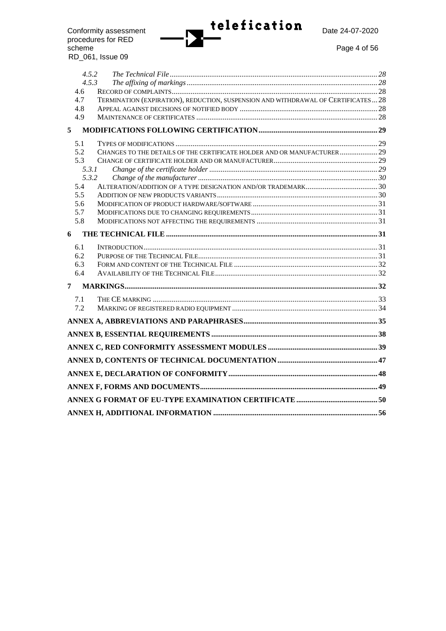

procedures for RED scheme Page 4 of 56 RD\_061, Issue 09

| 4.5.2        |                                                                                   |  |
|--------------|-----------------------------------------------------------------------------------|--|
| 4.5.3<br>4.6 |                                                                                   |  |
| 4.7          | TERMINATION (EXPIRATION), REDUCTION, SUSPENSION AND WITHDRAWAL OF CERTIFICATES 28 |  |
| 4.8          |                                                                                   |  |
| 4.9          |                                                                                   |  |
| 5            |                                                                                   |  |
| 5.1          |                                                                                   |  |
| 5.2          | CHANGES TO THE DETAILS OF THE CERTIFICATE HOLDER AND OR MANUFACTURER 29           |  |
| 5.3          |                                                                                   |  |
| 5.3.1        |                                                                                   |  |
| 5.3.2        |                                                                                   |  |
| 5.4          |                                                                                   |  |
| 5.5          |                                                                                   |  |
| 5.6          |                                                                                   |  |
| 5.7          |                                                                                   |  |
| 5.8          |                                                                                   |  |
| 6            |                                                                                   |  |
| 6.1          |                                                                                   |  |
| 6.2          |                                                                                   |  |
| 6.3          |                                                                                   |  |
| 6.4          |                                                                                   |  |
| 7            |                                                                                   |  |
| 7.1          |                                                                                   |  |
| 7.2          |                                                                                   |  |
|              |                                                                                   |  |
|              |                                                                                   |  |
|              |                                                                                   |  |
|              |                                                                                   |  |
|              |                                                                                   |  |
|              |                                                                                   |  |
|              |                                                                                   |  |
|              |                                                                                   |  |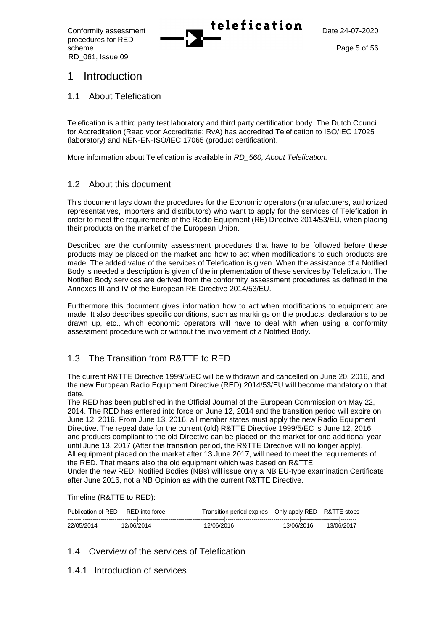procedures for RED scheme Page 5 of 56 RD\_061, Issue 09



## 1 Introduction

1.1 About Telefication

Telefication is a third party test laboratory and third party certification body. The Dutch Council for Accreditation (Raad voor Accreditatie: RvA) has accredited Telefication to ISO/IEC 17025 (laboratory) and NEN-EN-ISO/IEC 17065 (product certification).

More information about Telefication is available in *RD\_560, About Telefication.*

## 1.2 About this document

This document lays down the procedures for the Economic operators (manufacturers, authorized representatives, importers and distributors) who want to apply for the services of Telefication in order to meet the requirements of the Radio Equipment (RE) Directive 2014/53/EU, when placing their products on the market of the European Union.

Described are the conformity assessment procedures that have to be followed before these products may be placed on the market and how to act when modifications to such products are made. The added value of the services of Telefication is given. When the assistance of a Notified Body is needed a description is given of the implementation of these services by Telefication. The Notified Body services are derived from the conformity assessment procedures as defined in the Annexes III and IV of the European RE Directive 2014/53/EU.

Furthermore this document gives information how to act when modifications to equipment are made. It also describes specific conditions, such as markings on the products, declarations to be drawn up, etc., which economic operators will have to deal with when using a conformity assessment procedure with or without the involvement of a Notified Body.

## 1.3 The Transition from R&TTE to RED

The current R&TTE Directive 1999/5/EC will be withdrawn and cancelled on June 20, 2016, and the new European Radio Equipment Directive (RED) 2014/53/EU will become mandatory on that date.

The RED has been published in the Official Journal of the European Commission on May 22, 2014. The RED has entered into force on June 12, 2014 and the transition period will expire on June 12, 2016. From June 13, 2016, all member states must apply the new Radio Equipment Directive. The repeal date for the current (old) R&TTE Directive 1999/5/EC is June 12, 2016, and products compliant to the old Directive can be placed on the market for one additional year until June 13, 2017 (After this transition period, the R&TTE Directive will no longer apply). All equipment placed on the market after 13 June 2017, will need to meet the requirements of the RED. That means also the old equipment which was based on R&TTE. Under the new RED, Notified Bodies (NBs) will issue only a NB EU-type examination Certificate after June 2016, not a NB Opinion as with the current R&TTE Directive.

Timeline (R&TTE to RED):

|            | Publication of RED |            | RED into force |            | Transition period expires  Only apply RED  R&TTE stops |            |  |            |
|------------|--------------------|------------|----------------|------------|--------------------------------------------------------|------------|--|------------|
|            |                    |            |                |            |                                                        |            |  |            |
| 22/05/2014 |                    | 12/06/2014 |                | 12/06/2016 |                                                        | 13/06/2016 |  | 13/06/2017 |

## 1.4 Overview of the services of Telefication

1.4.1 Introduction of services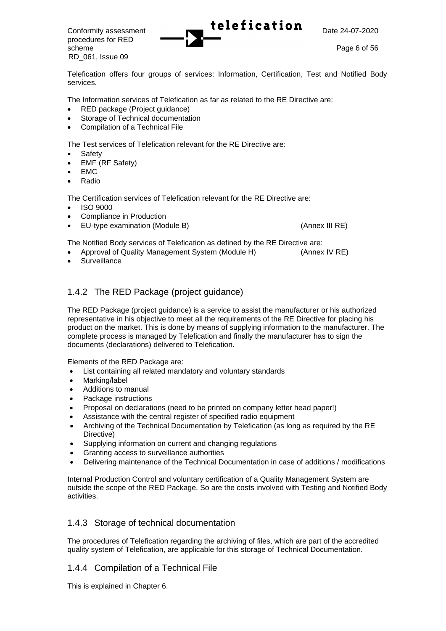Conformity assessment **Lelefication**  $\sum_{\text{Date } 24-07-2020}$ procedures for RED scheme Page 6 of 56 RD\_061, Issue 09

Telefication offers four groups of services: Information, Certification, Test and Notified Body services.

The Information services of Telefication as far as related to the RE Directive are:

- RED package (Project guidance)
- Storage of Technical documentation
- Compilation of a Technical File

The Test services of Telefication relevant for the RE Directive are:

- **Safety**
- EMF (RF Safety)
- EMC
- Radio

The Certification services of Telefication relevant for the RE Directive are:

- ISO 9000
- Compliance in Production
- EU-type examination (Module B) (Annex III RE)

The Notified Body services of Telefication as defined by the RE Directive are:

• Approval of Quality Management System (Module H) (Annex IV RE)

**Surveillance** 

## 1.4.2 The RED Package (project guidance)

The RED Package (project guidance) is a service to assist the manufacturer or his authorized representative in his objective to meet all the requirements of the RE Directive for placing his product on the market. This is done by means of supplying information to the manufacturer. The complete process is managed by Telefication and finally the manufacturer has to sign the documents (declarations) delivered to Telefication.

Elements of the RED Package are:

- List containing all related mandatory and voluntary standards
- Marking/label
- Additions to manual
- Package instructions
- Proposal on declarations (need to be printed on company letter head paper!)
- Assistance with the central register of specified radio equipment
- Archiving of the Technical Documentation by Telefication (as long as required by the RE Directive)
- Supplying information on current and changing regulations
- Granting access to surveillance authorities
- Delivering maintenance of the Technical Documentation in case of additions / modifications

Internal Production Control and voluntary certification of a Quality Management System are outside the scope of the RED Package. So are the costs involved with Testing and Notified Body activities.

## 1.4.3 Storage of technical documentation

The procedures of Telefication regarding the archiving of files, which are part of the accredited quality system of Telefication, are applicable for this storage of Technical Documentation.

## 1.4.4 Compilation of a Technical File

This is explained in Chapter 6.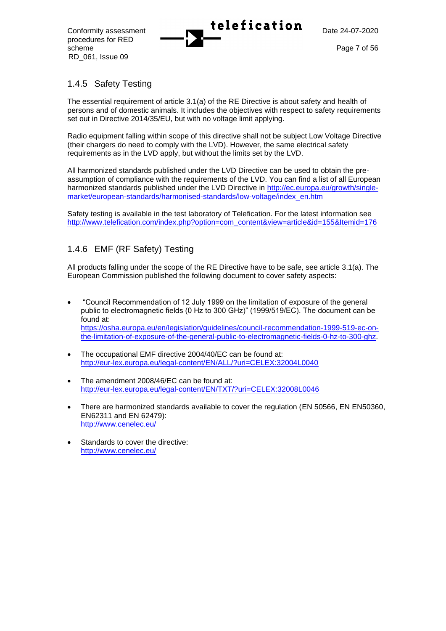procedures for RED scheme Page 7 of 56 RD\_061, Issue 09



## 1.4.5 Safety Testing

The essential requirement of article 3.1(a) of the RE Directive is about safety and health of persons and of domestic animals. It includes the objectives with respect to safety requirements set out in Directive 2014/35/EU, but with no voltage limit applying.

Radio equipment falling within scope of this directive shall not be subject Low Voltage Directive (their chargers do need to comply with the LVD). However, the same electrical safety requirements as in the LVD apply, but without the limits set by the LVD.

All harmonized standards published under the LVD Directive can be used to obtain the preassumption of compliance with the requirements of the LVD. You can find a list of all European harmonized standards published under the LVD Directive in [http://ec.europa.eu/growth/single](http://ec.europa.eu/growth/single-market/european-standards/harmonised-standards/low-voltage/index_en.htm)[market/european-standards/harmonised-standards/low-voltage/index\\_en.htm](http://ec.europa.eu/growth/single-market/european-standards/harmonised-standards/low-voltage/index_en.htm)

Safety testing is available in the test laboratory of Telefication. For the latest information see [http://www.telefication.com/index.php?option=com\\_content&view=article&id=155&Itemid=176](http://www.telefication.com/index.php?option=com_content&view=article&id=155&Itemid=176)

## 1.4.6 EMF (RF Safety) Testing

All products falling under the scope of the RE Directive have to be safe, see article 3.1(a). The European Commission published the following document to cover safety aspects:

- "Council Recommendation of 12 July 1999 on the limitation of exposure of the general public to electromagnetic fields (0 Hz to 300 GHz)" (1999/519/EC). The document can be found at: [https://osha.europa.eu/en/legislation/guidelines/council-recommendation-1999-519-ec-on](https://osha.europa.eu/en/legislation/guidelines/council-recommendation-1999-519-ec-on-the-limitation-of-exposure-of-the-general-public-to-electromagnetic-fields-0-hz-to-300-ghz)[the-limitation-of-exposure-of-the-general-public-to-electromagnetic-fields-0-hz-to-300-ghz.](https://osha.europa.eu/en/legislation/guidelines/council-recommendation-1999-519-ec-on-the-limitation-of-exposure-of-the-general-public-to-electromagnetic-fields-0-hz-to-300-ghz)
- The occupational EMF directive 2004/40/EC can be found at: <http://eur-lex.europa.eu/legal-content/EN/ALL/?uri=CELEX:32004L0040>
- The amendment 2008/46/EC can be found at: <http://eur-lex.europa.eu/legal-content/EN/TXT/?uri=CELEX:32008L0046>
- There are harmonized standards available to cover the regulation (EN 50566, EN EN50360, EN62311 and EN 62479): [http://www.cenelec.eu/](http://www.cenelec.eu/dyn/wive:1003,85)
- Standards to cover the directive: [http://www.cenelec.eu/](http://www.cenelec.eu/dyn/www/f?p=113:4:::::tc,directive:1003,13)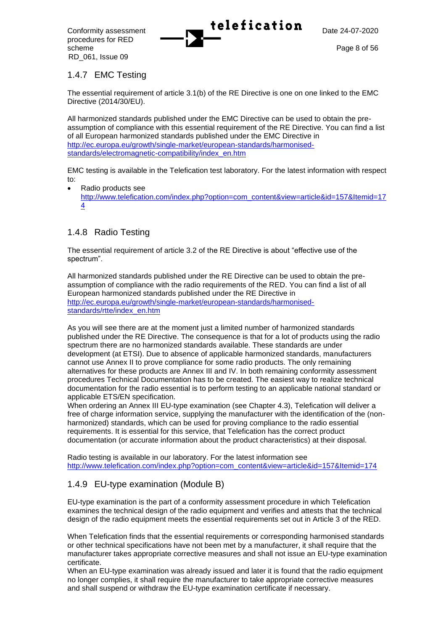procedures for RED scheme Page 8 of 56 RD\_061, Issue 09



## 1.4.7 EMC Testing

The essential requirement of article 3.1(b) of the RE Directive is one on one linked to the EMC Directive (2014/30/EU).

All harmonized standards published under the EMC Directive can be used to obtain the preassumption of compliance with this essential requirement of the RE Directive. You can find a list of all European harmonized standards published under the EMC Directive in [http://ec.europa.eu/growth/single-market/european-standards/harmonised](http://ec.europa.eu/growth/single-market/european-standards/harmonised-standards/electromagnetic-compatibility/index_en.htm)[standards/electromagnetic-compatibility/index\\_en.htm](http://ec.europa.eu/growth/single-market/european-standards/harmonised-standards/electromagnetic-compatibility/index_en.htm)

EMC testing is available in the Telefication test laboratory. For the latest information with respect to:

• Radio products see [http://www.telefication.com/index.php?option=com\\_content&view=article&id=157&Itemid=17](http://www.telefication.com/index.php?option=com_content&view=article&id=157&Itemid=174) [4](http://www.telefication.com/index.php?option=com_content&view=article&id=157&Itemid=174)

## 1.4.8 Radio Testing

The essential requirement of article 3.2 of the RE Directive is about "effective use of the spectrum".

All harmonized standards published under the RE Directive can be used to obtain the preassumption of compliance with the radio requirements of the RED. You can find a list of all European harmonized standards published under the RE Directive in [http://ec.europa.eu/growth/single-market/european-standards/harmonised](http://ec.europa.eu/growth/single-market/european-standards/harmonised-standards/rtte/index_en.htm)[standards/rtte/index\\_en.htm](http://ec.europa.eu/growth/single-market/european-standards/harmonised-standards/rtte/index_en.htm)

As you will see there are at the moment just a limited number of harmonized standards published under the RE Directive. The consequence is that for a lot of products using the radio spectrum there are no harmonized standards available. These standards are under development (at ETSI). Due to absence of applicable harmonized standards, manufacturers cannot use Annex II to prove compliance for some radio products. The only remaining alternatives for these products are Annex III and IV. In both remaining conformity assessment procedures Technical Documentation has to be created. The easiest way to realize technical documentation for the radio essential is to perform testing to an applicable national standard or applicable ETS/EN specification.

When ordering an Annex III EU-type examination (see Chapter 4.3), Telefication will deliver a free of charge information service, supplying the manufacturer with the identification of the (nonharmonized) standards, which can be used for proving compliance to the radio essential requirements. It is essential for this service, that Telefication has the correct product documentation (or accurate information about the product characteristics) at their disposal.

Radio testing is available in our laboratory. For the latest information see [http://www.telefication.com/index.php?option=com\\_content&view=article&id=157&Itemid=174](http://www.telefication.com/index.php?option=com_content&view=article&id=157&Itemid=174)

## 1.4.9 EU-type examination (Module B)

EU-type examination is the part of a conformity assessment procedure in which Telefication examines the technical design of the radio equipment and verifies and attests that the technical design of the radio equipment meets the essential requirements set out in Article 3 of the RED.

When Telefication finds that the essential requirements or corresponding harmonised standards or other technical specifications have not been met by a manufacturer, it shall require that the manufacturer takes appropriate corrective measures and shall not issue an EU-type examination certificate.

When an EU-type examination was already issued and later it is found that the radio equipment no longer complies, it shall require the manufacturer to take appropriate corrective measures and shall suspend or withdraw the EU-type examination certificate if necessary.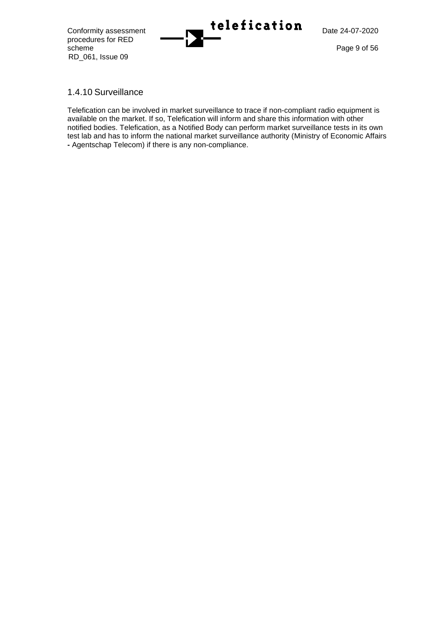procedures for RED scheme Page 9 of 56 RD\_061, Issue 09



## 1.4.10 Surveillance

Telefication can be involved in market surveillance to trace if non-compliant radio equipment is available on the market. If so, Telefication will inform and share this information with other notified bodies. Telefication, as a Notified Body can perform market surveillance tests in its own test lab and has to inform the national market surveillance authority (Ministry of Economic Affairs **-** Agentschap Telecom) if there is any non-compliance.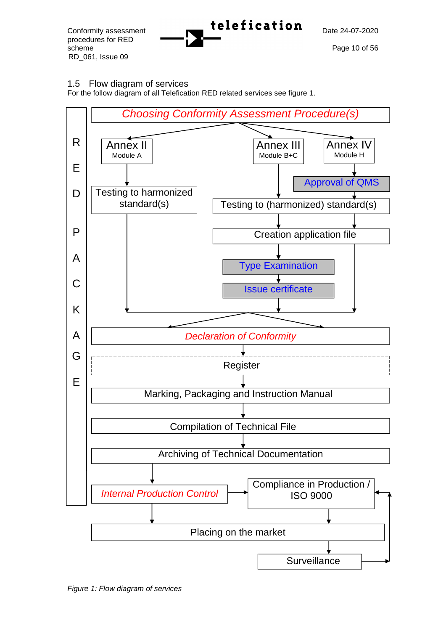procedures for RED scheme Page 10 of 56 RD\_061, Issue 09



## 1.5 Flow diagram of services

For the follow diagram of all Telefication RED related services see figure 1.



*Figure 1: Flow diagram of services*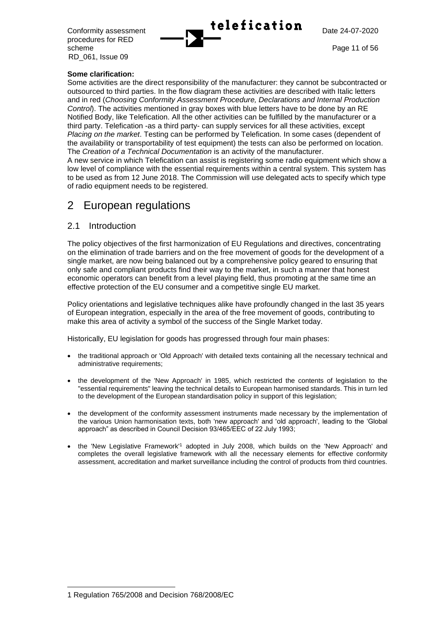| Conformity assessment | telefication | Date 24-07-2020 |
|-----------------------|--------------|-----------------|
|                       |              |                 |

procedures for RED scheme Page 11 of 56 RD\_061, Issue 09

#### **Some clarification:**

Some activities are the direct responsibility of the manufacturer: they cannot be subcontracted or outsourced to third parties. In the flow diagram these activities are described with Italic letters and in red (*Choosing Conformity Assessment Procedure, Declarations and Internal Production Control*). The activities mentioned in gray boxes with blue letters have to be done by an RE Notified Body, like Telefication. All the other activities can be fulfilled by the manufacturer or a third party. Telefication -as a third party- can supply services for all these activities, except *Placing on the market*. Testing can be performed by Telefication. In some cases (dependent of the availability or transportability of test equipment) the tests can also be performed on location. The *Creation of a Technical Documentation* is an activity of the manufacturer.

A new service in which Telefication can assist is registering some radio equipment which show a low level of compliance with the essential requirements within a central system. This system has to be used as from 12 June 2018. The Commission will use delegated acts to specify which type of radio equipment needs to be registered.

## 2 European regulations

## 2.1 Introduction

The policy objectives of the first harmonization of EU Regulations and directives, concentrating on the elimination of trade barriers and on the free movement of goods for the development of a single market, are now being balanced out by a comprehensive policy geared to ensuring that only safe and compliant products find their way to the market, in such a manner that honest economic operators can benefit from a level playing field, thus promoting at the same time an effective protection of the EU consumer and a competitive single EU market.

Policy orientations and legislative techniques alike have profoundly changed in the last 35 years of European integration, especially in the area of the free movement of goods, contributing to make this area of activity a symbol of the success of the Single Market today.

Historically, EU legislation for goods has progressed through four main phases:

- the traditional approach or 'Old Approach' with detailed texts containing all the necessary technical and administrative requirements;
- the development of the 'New Approach' in 1985, which restricted the contents of legislation to the "essential requirements" leaving the technical details to European harmonised standards. This in turn led to the development of the European standardisation policy in support of this legislation;
- the development of the conformity assessment instruments made necessary by the implementation of the various Union harmonisation texts, both 'new approach' and 'old approach', leading to the 'Global approach" as described in Council Decision 93/465/EEC of 22 July 1993;
- the 'New Legislative Framework'<sup>1</sup> adopted in July 2008, which builds on the 'New Approach' and completes the overall legislative framework with all the necessary elements for effective conformity assessment, accreditation and market surveillance including the control of products from third countries.

<sup>1</sup> Regulation 765/2008 and Decision 768/2008/EC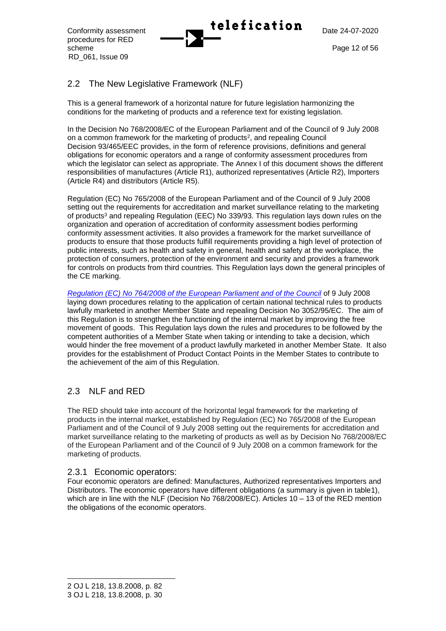procedures for RED scheme Page 12 of 56 RD\_061, Issue 09



## 2.2 The New Legislative Framework (NLF)

This is a general framework of a horizontal nature for future legislation harmonizing the conditions for the marketing of products and a reference text for existing legislation.

In the Decision No [768/2008/EC of the European Parliament and of the Council of 9](http://eur-lex.europa.eu/LexUriServ/LexUriServ.do?uri=OJ:L:2008:218:0082:0128:EN:PDF) July 2008 [on a common framework for the marketing of products](http://eur-lex.europa.eu/LexUriServ/LexUriServ.do?uri=OJ:L:2008:218:0082:0128:EN:PDF)<sup>2</sup>, and repealing Council Decision [93/465/EEC](http://eur-lex.europa.eu/LexUriServ/LexUriServ.do?uri=OJ:L:2008:218:0082:0128:EN:PDF) provides, in the form of reference provisions, definitions and general obligations for economic operators and a range of conformity assessment procedures from which the legislator can select as appropriate. The Annex I of this document shows the different responsibilities of manufactures (Article R1), authorized representatives (Article R2), Importers (Article R4) and distributors (Article R5).

[Regulation \(EC\) No 765/2008 of the European Parliament and of the Council](http://eur-lex.europa.eu/LexUriServ/LexUriServ.do?uri=CELEX:32008R0765:EN:NOT) of 9 July 2008 setting out the requirements for accreditation and market surveillance relating to the marketing of products<sup>3</sup> and repealing Regulation (EEC) No 339/93. This regulation lays down rules on the organization and operation of accreditation of conformity assessment bodies performing conformity assessment activities. It also provides a framework for the market surveillance of products to ensure that those products fulfill requirements providing a high level of protection of public interests, such as health and safety in general, health and safety at the workplace, the protection of consumers, protection of the environment and security and provides a framework for controls on products from third countries. This Regulation lays down the general principles of the CE marking.

*[Regulation \(EC\) No 764/2008 of the European Parliament and of the Council](http://eur-lex.europa.eu/LexUriServ/LexUriServ.do?uri=CELEX:32008R0764:EN:NOT)* of 9 July 2008 laying down procedures relating to the application of certain national technical rules to products lawfully marketed in another Member State and repealing Decision No 3052/95/EC. The aim of this Regulation is to strengthen the functioning of the internal market by improving the free movement of goods. This Regulation lays down the rules and procedures to be followed by the competent authorities of a Member State when taking or intending to take a decision, which would hinder the free movement of a product lawfully marketed in another Member State. It also provides for the establishment of Product Contact Points in the Member States to contribute to the achievement of the aim of this Regulation.

## 2.3 NLF and RED

The RED should take into account of the horizontal legal framework for the marketing of products in the internal market, established by Regulation (EC) No 765/2008 of the European Parliament and of the Council of 9 July 2008 setting out the requirements for accreditation and market surveillance relating to the marketing of products as well as by Decision No 768/2008/EC of the European Parliament and of the Council of 9 July 2008 on a common framework for the marketing of products.

## 2.3.1 Economic operators:

Four economic operators are defined: Manufactures, Authorized representatives Importers and Distributors. The economic operators have different obligations (a summary is given in table1). which are in line with the NLF (Decision No 768/2008/EC). Articles 10 – 13 of the RED mention the obligations of the economic operators.

<sup>2</sup> OJ L 218, 13.8.2008, p. 82 3 OJ L 218, 13.8.2008, p. 30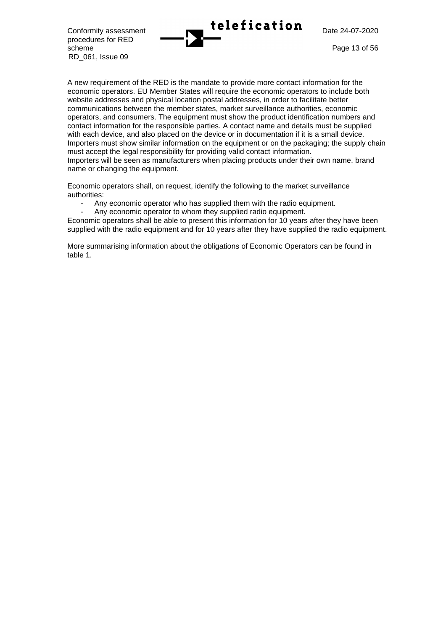Conformity assessment **Telefication** Date 24-07-2020

procedures for RED scheme Page 13 of 56 RD\_061, Issue 09

A new requirement of the RED is the mandate to provide more contact information for the economic operators. EU Member States will require the economic operators to include both website addresses and physical location postal addresses, in order to facilitate better communications between the member states, market surveillance authorities, economic operators, and consumers. The equipment must show the product identification numbers and contact information for the responsible parties. A contact name and details must be supplied with each device, and also placed on the device or in documentation if it is a small device. Importers must show similar information on the equipment or on the packaging; the supply chain must accept the legal responsibility for providing valid contact information. Importers will be seen as manufacturers when placing products under their own name, brand name or changing the equipment.

Economic operators shall, on request, identify the following to the market surveillance authorities:

- Any economic operator who has supplied them with the radio equipment.
- Any economic operator to whom they supplied radio equipment.

Economic operators shall be able to present this information for 10 years after they have been supplied with the radio equipment and for 10 years after they have supplied the radio equipment.

More summarising information about the obligations of Economic Operators can be found in table 1.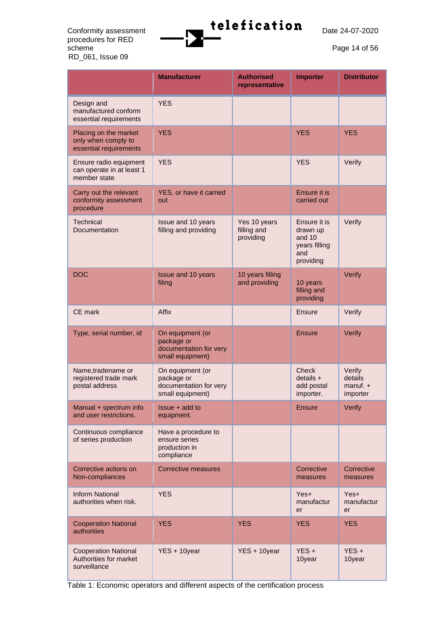procedures for RED<br>scheme RD\_061, Issue 09



Page 14 of 56

|                                                                        | <b>Manufacturer</b>                                                          | <b>Authorised</b><br>representative      | <b>Importer</b>                                                         | <b>Distributor</b>                             |
|------------------------------------------------------------------------|------------------------------------------------------------------------------|------------------------------------------|-------------------------------------------------------------------------|------------------------------------------------|
| Design and<br>manufactured conform<br>essential requirements           | <b>YES</b>                                                                   |                                          |                                                                         |                                                |
| Placing on the market<br>only when comply to<br>essential requirements | <b>YES</b>                                                                   |                                          | <b>YES</b>                                                              | <b>YES</b>                                     |
| Ensure radio equipment<br>can operate in at least 1<br>member state    | <b>YES</b>                                                                   |                                          | <b>YES</b>                                                              | Verify                                         |
| Carry out the relevant<br>conformity assessment<br>procedure           | YES, or have it carried<br>out                                               |                                          | Ensure it is<br>carried out                                             |                                                |
| Technical<br>Documentation                                             | Issue and 10 years<br>filling and providing                                  | Yes 10 years<br>filling and<br>providing | Ensure it is<br>drawn up<br>and 10<br>years filling<br>and<br>providing | Verify                                         |
| <b>DOC</b>                                                             | Issue and 10 years<br>filing                                                 | 10 years filling<br>and providing        | 10 years<br>filling and<br>providing                                    | Verify                                         |
| CE mark                                                                | Affix                                                                        |                                          | Ensure                                                                  | Verify                                         |
| Type, serial number, id                                                | On equipment (or<br>package or<br>documentation for very<br>small equipment) |                                          | <b>Ensure</b>                                                           | Verify                                         |
| Name, tradename or<br>registered trade mark<br>postal address          | On equipment (or<br>package or<br>documentation for very<br>small equipment) |                                          | <b>Check</b><br>$details +$<br>add postal<br>importer.                  | Verify<br>details<br>$m$ anuf. $+$<br>importer |
| Manual + spectrum info<br>and user restrictions.                       | Issue + add to<br>equipment.                                                 |                                          | <b>Ensure</b>                                                           | Verify                                         |
| Continuous compliance<br>of series production                          | Have a procedure to<br>ensure series<br>production in<br>compliance          |                                          |                                                                         |                                                |
| Corrective actions on<br>Non-compliances                               | <b>Corrective measures</b>                                                   |                                          | Corrective<br>measures                                                  | Corrective<br>measures                         |
| <b>Inform National</b><br>authorities when risk.                       | <b>YES</b>                                                                   |                                          | Yes+<br>manufactur<br>er                                                | Yes+<br>manufactur<br>er                       |
| <b>Cooperation National</b><br>authorities                             | <b>YES</b>                                                                   |                                          | <b>YES</b>                                                              | <b>YES</b>                                     |
| <b>Cooperation National</b><br>Authorities for market<br>surveillance  | YES + 10year                                                                 | YES + 10year                             | $YES +$<br>10year                                                       | $YES +$<br>10year                              |

Table 1: Economic operators and different aspects of the certification process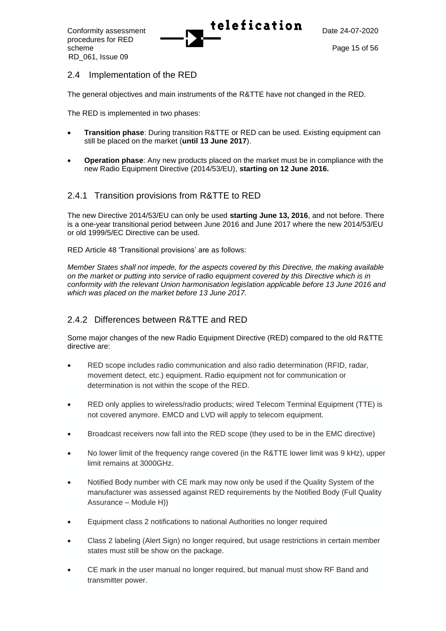procedures for RED scheme Page 15 of 56 RD\_061, Issue 09

## 2.4 Implementation of the RED

The general objectives and main instruments of the R&TTE have not changed in the RED.

The RED is implemented in two phases:

- **Transition phase**: During transition R&TTE or RED can be used. Existing equipment can still be placed on the market (**until 13 June 2017**).
- **Operation phase**: Any new products placed on the market must be in compliance with the new Radio Equipment Directive (2014/53/EU), **starting on 12 June 2016.**

## 2.4.1 Transition provisions from R&TTE to RED

The new Directive 2014/53/EU can only be used **starting June 13, 2016**, and not before. There is a one-year transitional period between June 2016 and June 2017 where the new 2014/53/EU or old 1999/5/EC Directive can be used.

RED Article 48 'Transitional provisions' are as follows:

*Member States shall not impede, for the aspects covered by this Directive, the making available on the market or putting into service of radio equipment covered by this Directive which is in conformity with the relevant Union harmonisation legislation applicable before 13 June 2016 and which was placed on the market before 13 June 2017.*

## 2.4.2 Differences between R&TTE and RED

Some major changes of the new Radio Equipment Directive (RED) compared to the old R&TTE directive are:

- RED scope includes radio communication and also radio determination (RFID, radar, movement detect, etc.) equipment. Radio equipment not for communication or determination is not within the scope of the RED.
- RED only applies to wireless/radio products; wired Telecom Terminal Equipment (TTE) is not covered anymore. EMCD and LVD will apply to telecom equipment.
- Broadcast receivers now fall into the RED scope (they used to be in the EMC directive)
- No lower limit of the frequency range covered (in the R&TTE lower limit was 9 kHz), upper limit remains at 3000GHz.
- Notified Body number with CE mark may now only be used if the Quality System of the manufacturer was assessed against RED requirements by the Notified Body (Full Quality Assurance – Module H))
- Equipment class 2 notifications to national Authorities no longer required
- Class 2 labeling (Alert Sign) no longer required, but usage restrictions in certain member states must still be show on the package.
- CE mark in the user manual no longer required, but manual must show RF Band and transmitter power.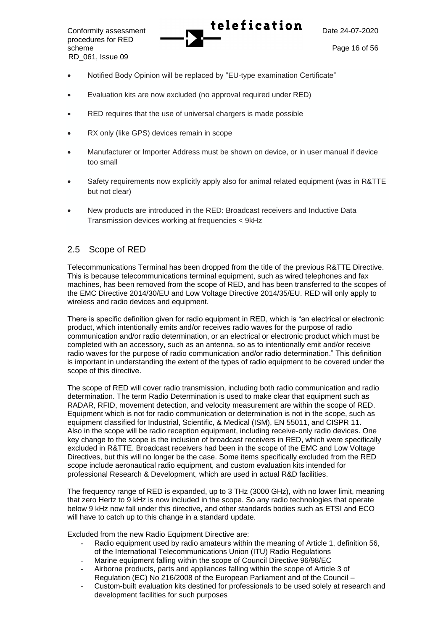procedures for RED scheme Page 16 of 56 RD\_061, Issue 09

- Notified Body Opinion will be replaced by "EU-type examination Certificate"
- Evaluation kits are now excluded (no approval required under RED)
- RED requires that the use of universal chargers is made possible
- RX only (like GPS) devices remain in scope
- Manufacturer or Importer Address must be shown on device, or in user manual if device too small
- Safety requirements now explicitly apply also for animal related equipment (was in R&TTE but not clear)
- New products are introduced in the RED: Broadcast receivers and Inductive Data Transmission devices working at frequencies < 9kHz

## 2.5 Scope of RED

Telecommunications Terminal has been dropped from the title of the previous R&TTE Directive. This is because telecommunications terminal equipment, such as wired telephones and fax machines, has been removed from the scope of RED, and has been transferred to the scopes of the EMC Directive 2014/30/EU and Low Voltage Directive 2014/35/EU. RED will only apply to wireless and radio devices and equipment.

There is specific definition given for radio equipment in RED, which is "an electrical or electronic product, which intentionally emits and/or receives radio waves for the purpose of radio communication and/or radio determination, or an electrical or electronic product which must be completed with an accessory, such as an antenna, so as to intentionally emit and/or receive radio waves for the purpose of radio communication and/or radio determination." This definition is important in understanding the extent of the types of radio equipment to be covered under the scope of this directive.

The scope of RED will cover radio transmission, including both radio communication and radio determination. The term Radio Determination is used to make clear that equipment such as RADAR, RFID, movement detection, and velocity measurement are within the scope of RED. Equipment which is not for radio communication or determination is not in the scope, such as equipment classified for Industrial, Scientific, & Medical (ISM), EN 55011, and CISPR 11. Also in the scope will be radio reception equipment, including receive-only radio devices. One key change to the scope is the inclusion of broadcast receivers in RED, which were specifically excluded in R&TTE. Broadcast receivers had been in the scope of the EMC and Low Voltage Directives, but this will no longer be the case. Some items specifically excluded from the RED scope include aeronautical radio equipment, and custom evaluation kits intended for professional Research & Development, which are used in actual R&D facilities.

The frequency range of RED is expanded, up to 3 THz (3000 GHz), with no lower limit, meaning that zero Hertz to 9 kHz is now included in the scope. So any radio technologies that operate below 9 kHz now fall under this directive, and other standards bodies such as ETSI and ECO will have to catch up to this change in a standard update.

Excluded from the new Radio Equipment Directive are:

- Radio equipment used by radio amateurs within the meaning of Article 1, definition 56, of the International Telecommunications Union (ITU) Radio Regulations
- Marine equipment falling within the scope of Council Directive 96/98/EC
- Airborne products, parts and appliances falling within the scope of Article 3 of Regulation (EC) No 216/2008 of the European Parliament and of the Council –
- Custom-built evaluation kits destined for professionals to be used solely at research and development facilities for such purposes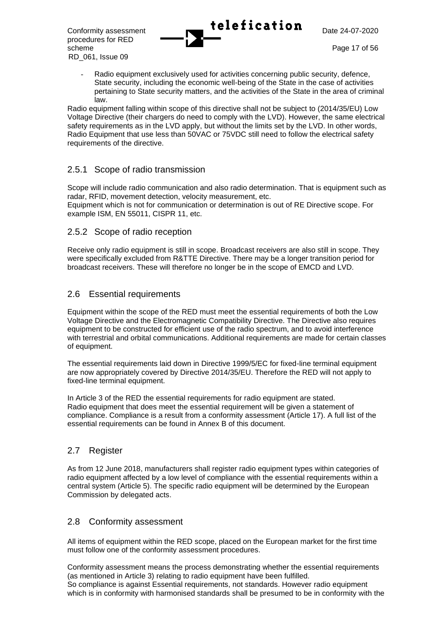procedures for RED scheme Page 17 of 56

Conformity assessment **Lelefication**  $\sum_{\text{Date } 24-07-2020}$ 

 RD\_061, Issue 09 Radio equipment exclusively used for activities concerning public security, defence, State security, including the economic well-being of the State in the case of activities pertaining to State security matters, and the activities of the State in the area of criminal law.

Radio equipment falling within scope of this directive shall not be subject to (2014/35/EU) Low Voltage Directive (their chargers do need to comply with the LVD). However, the same electrical safety requirements as in the LVD apply, but without the limits set by the LVD. In other words, Radio Equipment that use less than 50VAC or 75VDC still need to follow the electrical safety requirements of the directive.

## 2.5.1 Scope of radio transmission

Scope will include radio communication and also radio determination. That is equipment such as radar, RFID, movement detection, velocity measurement, etc. Equipment which is not for communication or determination is out of RE Directive scope. For example ISM, EN 55011, CISPR 11, etc.

## 2.5.2 Scope of radio reception

Receive only radio equipment is still in scope. Broadcast receivers are also still in scope. They were specifically excluded from R&TTE Directive. There may be a longer transition period for broadcast receivers. These will therefore no longer be in the scope of EMCD and LVD.

## 2.6 Essential requirements

Equipment within the scope of the RED must meet the essential requirements of both the Low Voltage Directive and the Electromagnetic Compatibility Directive. The Directive also requires equipment to be constructed for efficient use of the radio spectrum, and to avoid interference with terrestrial and orbital communications. Additional requirements are made for certain classes of equipment.

The essential requirements laid down in Directive 1999/5/EC for fixed-line terminal equipment are now appropriately covered by Directive 2014/35/EU. Therefore the RED will not apply to fixed-line terminal equipment.

In Article 3 of the RED the essential requirements for radio equipment are stated. Radio equipment that does meet the essential requirement will be given a statement of compliance. Compliance is a result from a conformity assessment (Article 17). A full list of the essential requirements can be found in Annex B of this document.

## 2.7 Register

As from 12 June 2018, manufacturers shall register radio equipment types within categories of radio equipment affected by a low level of compliance with the essential requirements within a central system (Article 5). The specific radio equipment will be determined by the European Commission by delegated acts.

## 2.8 Conformity assessment

All items of equipment within the RED scope, placed on the European market for the first time must follow one of the conformity assessment procedures.

Conformity assessment means the process demonstrating whether the essential requirements (as mentioned in Article 3) relating to radio equipment have been fulfilled. So compliance is against Essential requirements, not standards. However radio equipment which is in conformity with harmonised standards shall be presumed to be in conformity with the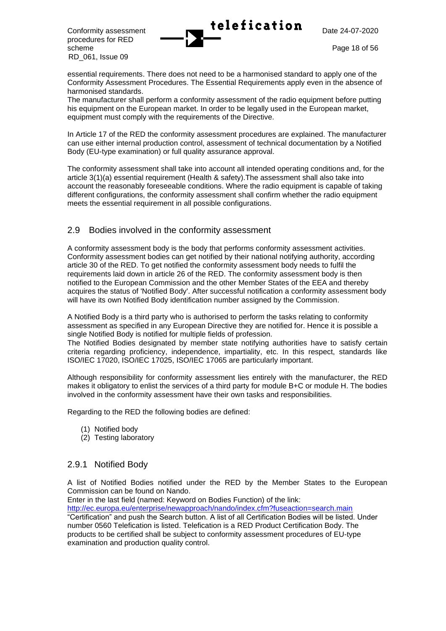procedures for RED scheme Page 18 of 56 RD\_061, Issue 09



essential requirements. There does not need to be a harmonised standard to apply one of the Conformity Assessment Procedures. The Essential Requirements apply even in the absence of harmonised standards.

The manufacturer shall perform a conformity assessment of the radio equipment before putting his equipment on the European market. In order to be legally used in the European market, equipment must comply with the requirements of the Directive.

In Article 17 of the RED the conformity assessment procedures are explained. The manufacturer can use either internal production control, assessment of technical documentation by a Notified Body (EU-type examination) or full quality assurance approval.

The conformity assessment shall take into account all intended operating conditions and, for the article 3(1)(a) essential requirement (Health & safety).The assessment shall also take into account the reasonably foreseeable conditions. Where the radio equipment is capable of taking different configurations, the conformity assessment shall confirm whether the radio equipment meets the essential requirement in all possible configurations.

## 2.9 Bodies involved in the conformity assessment

A conformity assessment body is the body that performs conformity assessment activities. Conformity assessment bodies can get notified by their national notifying authority, according article 30 of the RED. To get notified the conformity assessment body needs to fulfil the requirements laid down in article 26 of the RED. The conformity assessment body is then notified to the European Commission and the other Member States of the EEA and thereby acquires the status of 'Notified Body'. After successful notification a conformity assessment body will have its own Notified Body identification number assigned by the Commission.

A Notified Body is a third party who is authorised to perform the tasks relating to conformity assessment as specified in any European Directive they are notified for. Hence it is possible a single Notified Body is notified for multiple fields of profession.

The Notified Bodies designated by member state notifying authorities have to satisfy certain criteria regarding proficiency, independence, impartiality, etc. In this respect, standards like ISO/IEC 17020, ISO/IEC 17025, ISO/IEC 17065 are particularly important.

Although responsibility for conformity assessment lies entirely with the manufacturer, the RED makes it obligatory to enlist the services of a third party for module B+C or module H. The bodies involved in the conformity assessment have their own tasks and responsibilities.

Regarding to the RED the following bodies are defined:

- (1) Notified body
- (2) Testing laboratory

### 2.9.1 Notified Body

A list of Notified Bodies notified under the RED by the Member States to the European Commission can be found on Nando.

Enter in the last field (named: Keyword on Bodies Function) of the link:

<http://ec.europa.eu/enterprise/newapproach/nando/index.cfm?fuseaction=search.main> "Certification" and push the Search button. A list of all Certification Bodies will be listed. Under number 0560 Telefication is listed. Telefication is a RED Product Certification Body. The products to be certified shall be subject to conformity assessment procedures of EU-type examination and production quality control.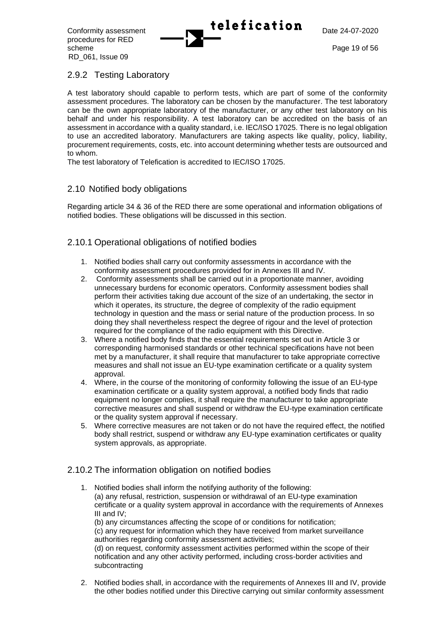procedures for RED scheme Page 19 of 56 RD\_061, Issue 09

Conformity assessment **Telefication** Date 24-07-2020

## 2.9.2 Testing Laboratory

A test laboratory should capable to perform tests, which are part of some of the conformity assessment procedures. The laboratory can be chosen by the manufacturer. The test laboratory can be the own appropriate laboratory of the manufacturer, or any other test laboratory on his behalf and under his responsibility. A test laboratory can be accredited on the basis of an assessment in accordance with a quality standard, i.e. IEC/ISO 17025. There is no legal obligation to use an accredited laboratory. Manufacturers are taking aspects like quality, policy, liability, procurement requirements, costs, etc. into account determining whether tests are outsourced and to whom.

The test laboratory of Telefication is accredited to IEC/ISO 17025.

## 2.10 Notified body obligations

Regarding article 34 & 36 of the RED there are some operational and information obligations of notified bodies. These obligations will be discussed in this section.

## 2.10.1 Operational obligations of notified bodies

- 1. Notified bodies shall carry out conformity assessments in accordance with the conformity assessment procedures provided for in Annexes III and IV.
- 2. Conformity assessments shall be carried out in a proportionate manner, avoiding unnecessary burdens for economic operators. Conformity assessment bodies shall perform their activities taking due account of the size of an undertaking, the sector in which it operates, its structure, the degree of complexity of the radio equipment technology in question and the mass or serial nature of the production process. In so doing they shall nevertheless respect the degree of rigour and the level of protection required for the compliance of the radio equipment with this Directive.
- 3. Where a notified body finds that the essential requirements set out in Article 3 or corresponding harmonised standards or other technical specifications have not been met by a manufacturer, it shall require that manufacturer to take appropriate corrective measures and shall not issue an EU-type examination certificate or a quality system approval.
- 4. Where, in the course of the monitoring of conformity following the issue of an EU-type examination certificate or a quality system approval, a notified body finds that radio equipment no longer complies, it shall require the manufacturer to take appropriate corrective measures and shall suspend or withdraw the EU-type examination certificate or the quality system approval if necessary.
- 5. Where corrective measures are not taken or do not have the required effect, the notified body shall restrict, suspend or withdraw any EU-type examination certificates or quality system approvals, as appropriate.

## 2.10.2 The information obligation on notified bodies

- 1. Notified bodies shall inform the notifying authority of the following: (a) any refusal, restriction, suspension or withdrawal of an EU-type examination certificate or a quality system approval in accordance with the requirements of Annexes III and IV; (b) any circumstances affecting the scope of or conditions for notification; (c) any request for information which they have received from market surveillance authorities regarding conformity assessment activities; (d) on request, conformity assessment activities performed within the scope of their notification and any other activity performed, including cross-border activities and subcontracting
- 2. Notified bodies shall, in accordance with the requirements of Annexes III and IV, provide the other bodies notified under this Directive carrying out similar conformity assessment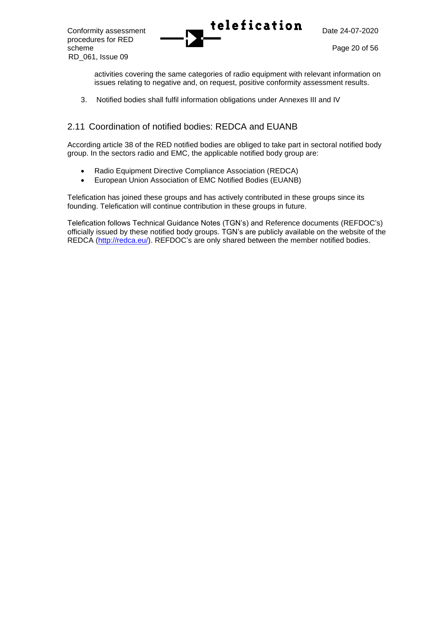activities covering the same categories of radio equipment with relevant information on issues relating to negative and, on request, positive conformity assessment results.

3. Notified bodies shall fulfil information obligations under Annexes III and IV

## 2.11 Coordination of notified bodies: REDCA and EUANB

According article 38 of the RED notified bodies are obliged to take part in sectoral notified body group. In the sectors radio and EMC, the applicable notified body group are:

- Radio Equipment Directive Compliance Association (REDCA)
- European Union Association of EMC Notified Bodies (EUANB)

Telefication has joined these groups and has actively contributed in these groups since its founding. Telefication will continue contribution in these groups in future.

Telefication follows Technical Guidance Notes (TGN's) and Reference documents (REFDOC's) officially issued by these notified body groups. TGN's are publicly available on the website of the REDCA [\(http://redca.eu/\)](http://redca.eu/). REFDOC's are only shared between the member notified bodies.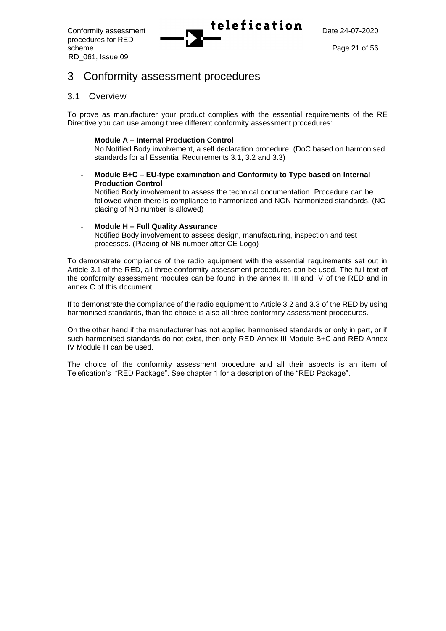procedures for RED scheme Page 21 of 56 RD\_061, Issue 09



## 3 Conformity assessment procedures

### <span id="page-20-0"></span>3.1 Overview

To prove as manufacturer your product complies with the essential requirements of the RE Directive you can use among three different conformity assessment procedures:

- **Module A – Internal Production Control**  No Notified Body involvement, a self declaration procedure. (DoC based on harmonised standards for all Essential Requirements 3.1, 3.2 and 3.3)
- **Module B+C – EU-type examination and Conformity to Type based on Internal Production Control**

Notified Body involvement to assess the technical documentation. Procedure can be followed when there is compliance to harmonized and NON-harmonized standards. (NO placing of NB number is allowed)

#### - **Module H – Full Quality Assurance**

Notified Body involvement to assess design, manufacturing, inspection and test processes. (Placing of NB number after CE Logo)

To demonstrate compliance of the radio equipment with the essential requirements set out in Article 3.1 of the RED, all three conformity assessment procedures can be used. The full text of the conformity assessment modules can be found in the annex II, III and IV of the RED and in annex C of this document.

If to demonstrate the compliance of the radio equipment to Article 3.2 and 3.3 of the RED by using harmonised standards, than the choice is also all three conformity assessment procedures.

On the other hand if the manufacturer has not applied harmonised standards or only in part, or if such harmonised standards do not exist, then only RED Annex III Module B+C and RED Annex IV Module H can be used.

The choice of the conformity assessment procedure and all their aspects is an item of Telefication's "RED Package". See chapter 1 for a description of the "RED Package".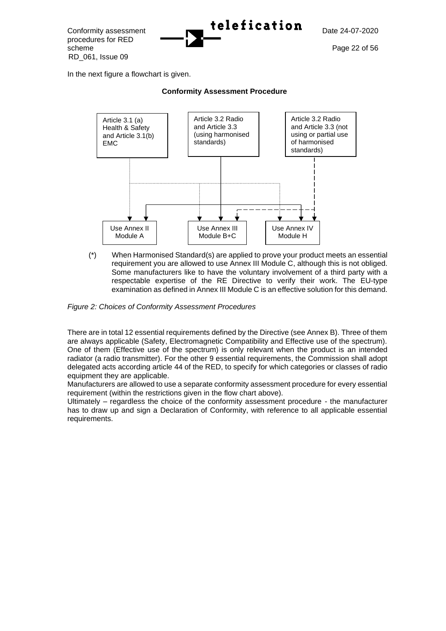Conformity assessment **Telefication** Date 24-07-2020 procedures for RED scheme Page 22 of 56 RD\_061, Issue 09

In the next figure a flowchart is given.



#### **Conformity Assessment Procedure**

(\*) When Harmonised Standard(s) are applied to prove your product meets an essential requirement you are allowed to use Annex III Module C, although this is not obliged. Some manufacturers like to have the voluntary involvement of a third party with a respectable expertise of the RE Directive to verify their work. The EU-type examination as defined in Annex III Module C is an effective solution for this demand.

*Figure 2: Choices of Conformity Assessment Procedures*

There are in total 12 essential requirements defined by the Directive (see Annex B). Three of them are always applicable (Safety, Electromagnetic Compatibility and Effective use of the spectrum). One of them (Effective use of the spectrum) is only relevant when the product is an intended radiator (a radio transmitter). For the other 9 essential requirements, the Commission shall adopt delegated acts according article 44 of the RED, to specify for which categories or classes of radio equipment they are applicable.

Manufacturers are allowed to use a separate conformity assessment procedure for every essential requirement (within the restrictions given in the flow chart above).

Ultimately – regardless the choice of the conformity assessment procedure - the manufacturer has to draw up and sign a Declaration of Conformity, with reference to all applicable essential requirements.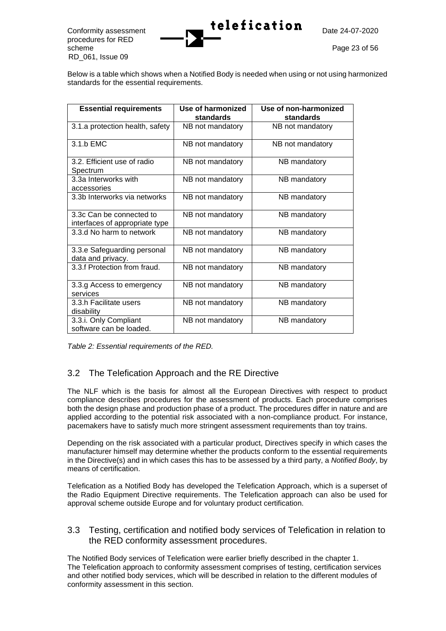procedures for RED scheme Page 23 of 56 RD\_061, Issue 09



Below is a table which shows when a Notified Body is needed when using or not using harmonized standards for the essential requirements.

| <b>Essential requirements</b>                              | Use of harmonized<br>standards | Use of non-harmonized<br>standards |
|------------------------------------------------------------|--------------------------------|------------------------------------|
| 3.1.a protection health, safety                            | NB not mandatory               | NB not mandatory                   |
| 3.1.b EMC                                                  | NB not mandatory               | NB not mandatory                   |
| 3.2. Efficient use of radio<br>Spectrum                    | NB not mandatory               | NB mandatory                       |
| 3.3a Interworks with<br>accessories                        | NB not mandatory               | NB mandatory                       |
| 3.3b Interworks via networks                               | NB not mandatory               | NB mandatory                       |
| 3.3c Can be connected to<br>interfaces of appropriate type | NB not mandatory               | NB mandatory                       |
| 3.3.d No harm to network                                   | NB not mandatory               | NB mandatory                       |
| 3.3.e Safeguarding personal<br>data and privacy.           | NB not mandatory               | NB mandatory                       |
| 3.3.f Protection from fraud.                               | NB not mandatory               | NB mandatory                       |
| 3.3.g Access to emergency<br>services                      | NB not mandatory               | NB mandatory                       |
| 3.3.h Facilitate users<br>disability                       | NB not mandatory               | NB mandatory                       |
| 3.3.i. Only Compliant<br>software can be loaded.           | NB not mandatory               | NB mandatory                       |

*Table 2: Essential requirements of the RED.*

## 3.2 The Telefication Approach and the RE Directive

The NLF which is the basis for almost all the European Directives with respect to product compliance describes procedures for the assessment of products. Each procedure comprises both the design phase and production phase of a product. The procedures differ in nature and are applied according to the potential risk associated with a non-compliance product. For instance, pacemakers have to satisfy much more stringent assessment requirements than toy trains.

Depending on the risk associated with a particular product, Directives specify in which cases the manufacturer himself may determine whether the products conform to the essential requirements in the Directive(s) and in which cases this has to be assessed by a third party, a *Notified Body*, by means of certification.

Telefication as a Notified Body has developed the Telefication Approach, which is a superset of the Radio Equipment Directive requirements. The Telefication approach can also be used for approval scheme outside Europe and for voluntary product certification.

## 3.3 Testing, certification and notified body services of Telefication in relation to the RED conformity assessment procedures.

The Notified Body services of Telefication were earlier briefly described in the chapter 1. The Telefication approach to conformity assessment comprises of testing, certification services and other notified body services, which will be described in relation to the different modules of conformity assessment in this section.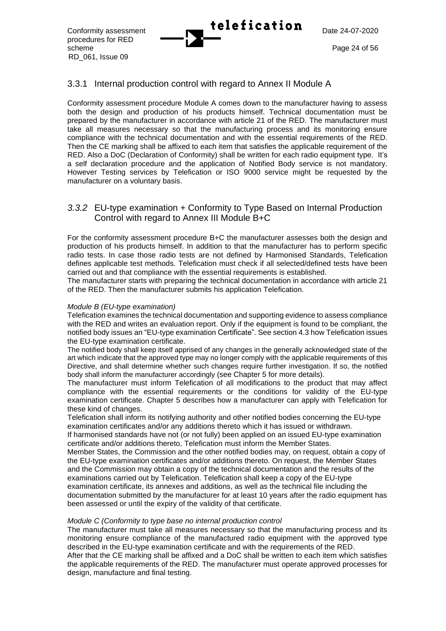procedures for RED scheme Page 24 of 56 RD\_061, Issue 09

## 3.3.1 Internal production control with regard to Annex II Module A

Conformity assessment procedure Module A comes down to the manufacturer having to assess both the design and production of his products himself. Technical documentation must be prepared by the manufacturer in accordance with article 21 of the RED. The manufacturer must take all measures necessary so that the manufacturing process and its monitoring ensure compliance with the technical documentation and with the essential requirements of the RED. Then the CE marking shall be affixed to each item that satisfies the applicable requirement of the RED. Also a DoC (Declaration of Conformity) shall be written for each radio equipment type. It's a self declaration procedure and the application of Notified Body service is not mandatory. However Testing services by Telefication or ISO 9000 service might be requested by the manufacturer on a voluntary basis.

## <span id="page-23-0"></span>*3.3.2* EU-type examination + Conformity to Type Based on Internal Production Control with regard to Annex III Module B+C

For the conformity assessment procedure B+C the manufacturer assesses both the design and production of his products himself. In addition to that the manufacturer has to perform specific radio tests. In case those radio tests are not defined by Harmonised Standards, Telefication defines applicable test methods. Telefication must check if all selected/defined tests have been carried out and that compliance with the essential requirements is established.

The manufacturer starts with preparing the technical documentation in accordance with article 21 of the RED. Then the manufacturer submits his application Telefication.

#### *Module B (EU-type examination)*

Telefication examines the technical documentation and supporting evidence to assess compliance with the RED and writes an evaluation report. Only if the equipment is found to be compliant, the notified body issues an "EU-type examination Certificate". See sectio[n 4.3](#page-25-0) how Telefication issues the EU-type examination certificate.

The notified body shall keep itself apprised of any changes in the generally acknowledged state of the art which indicate that the approved type may no longer comply with the applicable requirements of this Directive, and shall determine whether such changes require further investigation. If so, the notified body shall inform the manufacturer accordingly (see Chapter 5 for more details).

The manufacturer must inform Telefication of all modifications to the product that may affect compliance with the essential requirements or the conditions for validity of the EU-type examination certificate. Chapter 5 describes how a manufacturer can apply with Telefication for these kind of changes.

Telefication shall inform its notifying authority and other notified bodies concerning the EU-type examination certificates and/or any additions thereto which it has issued or withdrawn.

If harmonised standards have not (or not fully) been applied on an issued EU-type examination certificate and/or additions thereto, Telefication must inform the Member States.

Member States, the Commission and the other notified bodies may, on request, obtain a copy of the EU-type examination certificates and/or additions thereto. On request, the Member States and the Commission may obtain a copy of the technical documentation and the results of the examinations carried out by Telefication. Telefication shall keep a copy of the EU-type examination certificate, its annexes and additions, as well as the technical file including the documentation submitted by the manufacturer for at least 10 years after the radio equipment has been assessed or until the expiry of the validity of that certificate.

#### *Module C (Conformity to type base no internal production control*

The manufacturer must take all measures necessary so that the manufacturing process and its monitoring ensure compliance of the manufactured radio equipment with the approved type described in the EU-type examination certificate and with the requirements of the RED. After that the CE marking shall be affixed and a DoC shall be written to each item which satisfies the applicable requirements of the RED. The manufacturer must operate approved processes for design, manufacture and final testing.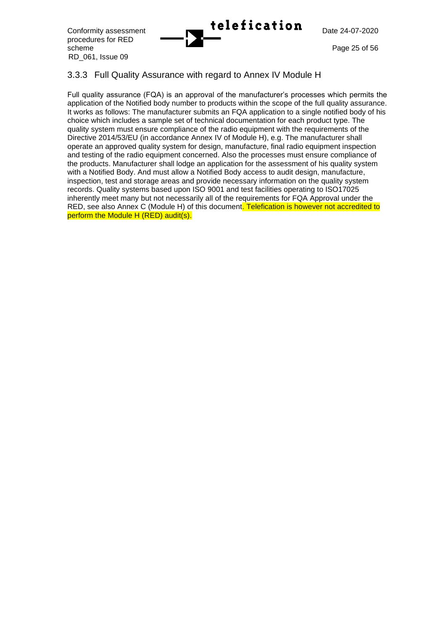

procedures for RED scheme Page 25 of 56 RD\_061, Issue 09

## 3.3.3 Full Quality Assurance with regard to Annex IV Module H

Full quality assurance (FQA) is an approval of the manufacturer's processes which permits the application of the Notified body number to products within the scope of the full quality assurance. It works as follows: The manufacturer submits an FQA application to a single notified body of his choice which includes a sample set of technical documentation for each product type. The quality system must ensure compliance of the radio equipment with the requirements of the Directive 2014/53/EU (in accordance Annex IV of Module H), e.g. The manufacturer shall operate an approved quality system for design, manufacture, final radio equipment inspection and testing of the radio equipment concerned. Also the processes must ensure compliance of the products. Manufacturer shall lodge an application for the assessment of his quality system with a Notified Body. And must allow a Notified Body access to audit design, manufacture, inspection, test and storage areas and provide necessary information on the quality system records. Quality systems based upon ISO 9001 and test facilities operating to ISO17025 inherently meet many but not necessarily all of the requirements for FQA Approval under the RED, see also Annex C (Module H) of this document. Telefication is however not accredited to perform the Module H (RED) audit(s).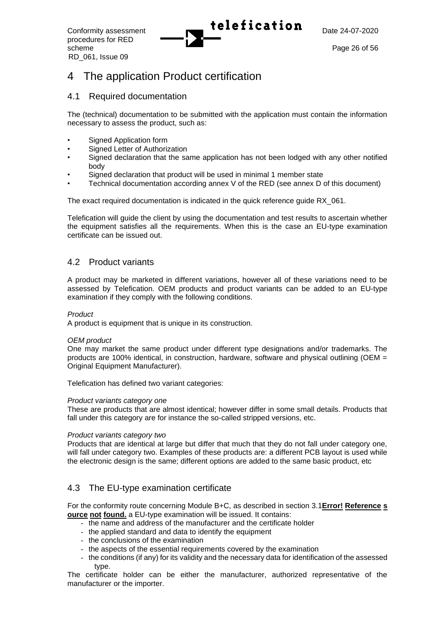procedures for RED scheme Page 26 of 56 RD\_061, Issue 09

## 4 The application Product certification

## 4.1 Required documentation

The (technical) documentation to be submitted with the application must contain the information necessary to assess the product, such as:

- Signed Application form
- Signed Letter of Authorization
- Signed declaration that the same application has not been lodged with any other notified body
- Signed declaration that product will be used in minimal 1 member state
- Technical documentation according annex V of the RED (see annex D of this document)

The exact required documentation is indicated in the quick reference guide RX\_061.

Telefication will guide the client by using the documentation and test results to ascertain whether the equipment satisfies all the requirements. When this is the case an EU-type examination certificate can be issued out.

## 4.2 Product variants

A product may be marketed in different variations, however all of these variations need to be assessed by Telefication. OEM products and product variants can be added to an EU-type examination if they comply with the following conditions.

#### *Product*

A product is equipment that is unique in its construction.

#### *OEM product*

One may market the same product under different type designations and/or trademarks. The products are 100% identical, in construction, hardware, software and physical outlining (OEM = Original Equipment Manufacturer).

Telefication has defined two variant categories:

#### *Product variants category one*

These are products that are almost identical; however differ in some small details. Products that fall under this category are for instance the so-called stripped versions, etc.

#### *Product variants category two*

Products that are identical at large but differ that much that they do not fall under category one, will fall under category two. Examples of these products are: a different PCB layout is used while the electronic design is the same; different options are added to the same basic product, etc

## <span id="page-25-0"></span>4.3 The EU-type examination certificate

For the conformity route concerning Module B+C, as described in section [3.1](#page-20-0)**Error! Reference s ource not found.** a EU-type examination will be issued. It contains:

- the name and address of the manufacturer and the certificate holder
	- the applied standard and data to identify the equipment
	- the conclusions of the examination
	- the aspects of the essential requirements covered by the examination
- the conditions (if any) for its validity and the necessary data for identification of the assessed type.

The certificate holder can be either the manufacturer, authorized representative of the manufacturer or the importer.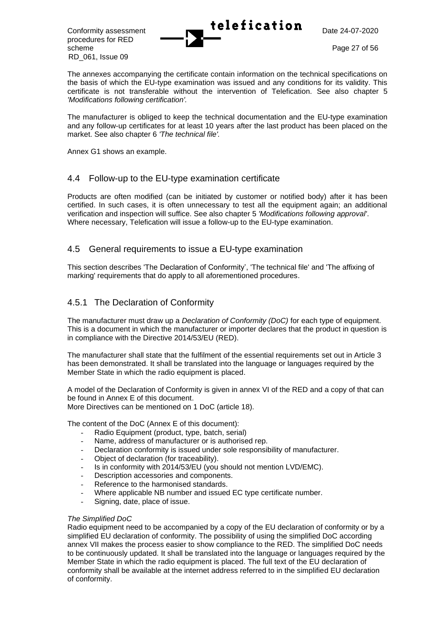procedures for RED scheme Page 27 of 56 RD\_061, Issue 09



The annexes accompanying the certificate contain information on the technical specifications on the basis of which the EU-type examination was issued and any conditions for its validity. This certificate is not transferable without the intervention of Telefication. See also chapter [5](#page-28-0) *'Modifications following certification'.*

The manufacturer is obliged to keep the technical documentation and the EU-type examination and any follow-up certificates for at least 10 years after the last product has been placed on the market. See also chapter [6](#page-30-0) *'The technical file'.*

Annex G1 shows an example.

## 4.4 Follow-up to the EU-type examination certificate

Products are often modified (can be initiated by customer or notified body) after it has been certified. In such cases, it is often unnecessary to test all the equipment again; an additional verification and inspection will suffice. See also chapter [5](#page-28-0) *'Modifications following approval'*. Where necessary, Telefication will issue a follow-up to the EU-type examination.

## 4.5 General requirements to issue a EU-type examination

This section describes 'The Declaration of Conformity', 'The technical file' and 'The affixing of marking' requirements that do apply to all aforementioned procedures.

## 4.5.1 The Declaration of Conformity

The manufacturer must draw up a *Declaration of Conformity (DoC)* for each type of equipment. This is a document in which the manufacturer or importer declares that the product in question is in compliance with the Directive 2014/53/EU (RED).

The manufacturer shall state that the fulfilment of the essential requirements set out in Article 3 has been demonstrated. It shall be translated into the language or languages required by the Member State in which the radio equipment is placed.

A model of the Declaration of Conformity is given in annex VI of the RED and a copy of that can be found in Annex E of this document.

More Directives can be mentioned on 1 DoC (article 18).

The content of the DoC (Annex E of this document):

- Radio Equipment (product, type, batch, serial)
- Name, address of manufacturer or is authorised rep.
- Declaration conformity is issued under sole responsibility of manufacturer.
- Object of declaration (for traceability).
- Is in conformity with 2014/53/EU (you should not mention LVD/EMC).
- Description accessories and components.
- Reference to the harmonised standards.
- Where applicable NB number and issued EC type certificate number.
- Signing, date, place of issue.

#### *The Simplified DoC*

Radio equipment need to be accompanied by a copy of the EU declaration of conformity or by a simplified EU declaration of conformity. The possibility of using the simplified DoC according annex VII makes the process easier to show compliance to the RED. The simplified DoC needs to be continuously updated. It shall be translated into the language or languages required by the Member State in which the radio equipment is placed. The full text of the EU declaration of conformity shall be available at the internet address referred to in the simplified EU declaration of conformity.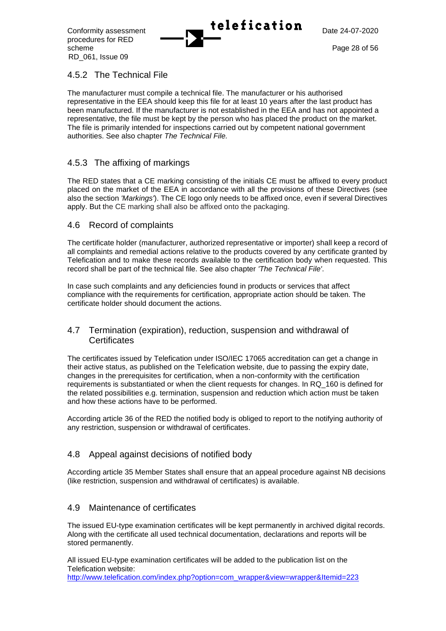procedures for RED scheme Page 28 of 56 RD\_061, Issue 09

Conformity assessment **Lelefication**  $\sum_{\text{Date } 24-07-2020}$ 

## 4.5.2 The Technical File

The manufacturer must compile a technical file. The manufacturer or his authorised representative in the EEA should keep this file for at least 10 years after the last product has been manufactured. If the manufacturer is not established in the EEA and has not appointed a representative, the file must be kept by the person who has placed the product on the market. The file is primarily intended for inspections carried out by competent national government authorities. See also chapter *The Technical File.*

## 4.5.3 The affixing of markings

The RED states that a CE marking consisting of the initials CE must be affixed to every product placed on the market of the EEA in accordance with all the provisions of these Directives (see also the section *'Markings'*). The CE logo only needs to be affixed once, even if several Directives apply. But the CE marking shall also be affixed onto the packaging.

## 4.6 Record of complaints

The certificate holder (manufacturer, authorized representative or importer) shall keep a record of all complaints and remedial actions relative to the products covered by any certificate granted by Telefication and to make these records available to the certification body when requested. This record shall be part of the technical file. See also chapter *'The Technical File'*.

In case such complaints and any deficiencies found in products or services that affect compliance with the requirements for certification, appropriate action should be taken. The certificate holder should document the actions.

## 4.7 Termination (expiration), reduction, suspension and withdrawal of **Certificates**

The certificates issued by Telefication under ISO/IEC 17065 accreditation can get a change in their active status, as published on the Telefication website, due to passing the expiry date, changes in the prerequisites for certification, when a non-conformity with the certification requirements is substantiated or when the client requests for changes. In RQ\_160 is defined for the related possibilities e.g. termination, suspension and reduction which action must be taken and how these actions have to be performed.

According article 36 of the RED the notified body is obliged to report to the notifying authority of any restriction, suspension or withdrawal of certificates.

## 4.8 Appeal against decisions of notified body

According article 35 Member States shall ensure that an appeal procedure against NB decisions (like restriction, suspension and withdrawal of certificates) is available.

## <span id="page-27-0"></span>4.9 Maintenance of certificates

The issued EU-type examination certificates will be kept permanently in archived digital records. Along with the certificate all used technical documentation, declarations and reports will be stored permanently.

All issued EU-type examination certificates will be added to the publication list on the Telefication website: [http://www.telefication.com/index.php?option=com\\_wrapper&view=wrapper&Itemid=223](http://www.telefication.com/index.php?option=com_wrapper&view=wrapper&Itemid=223)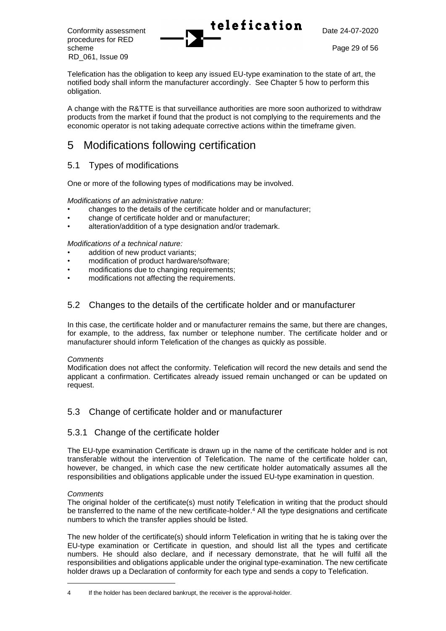procedures for RED scheme Page 29 of 56 RD\_061, Issue 09



Telefication has the obligation to keep any issued EU-type examination to the state of art, the notified body shall inform the manufacturer accordingly. See Chapter 5 how to perform this obligation.

A change with the R&TTE is that surveillance authorities are more soon authorized to withdraw products from the market if found that the product is not complying to the requirements and the economic operator is not taking adequate corrective actions within the timeframe given.

## <span id="page-28-0"></span>5 Modifications following certification

## 5.1 Types of modifications

One or more of the following types of modifications may be involved.

*Modifications of an administrative nature:*

- changes to the details of the certificate holder and or manufacturer;
- change of certificate holder and or manufacturer;
- alteration/addition of a type designation and/or trademark.

#### *Modifications of a technical nature:*

- addition of new product variants:
- modification of product hardware/software;
- modifications due to changing requirements;
- modifications not affecting the requirements.

## 5.2 Changes to the details of the certificate holder and or manufacturer

In this case, the certificate holder and or manufacturer remains the same, but there are changes, for example, to the address, fax number or telephone number. The certificate holder and or manufacturer should inform Telefication of the changes as quickly as possible.

#### *Comments*

Modification does not affect the conformity. Telefication will record the new details and send the applicant a confirmation. Certificates already issued remain unchanged or can be updated on request.

## 5.3 Change of certificate holder and or manufacturer

## 5.3.1 Change of the certificate holder

The EU-type examination Certificate is drawn up in the name of the certificate holder and is not transferable without the intervention of Telefication. The name of the certificate holder can, however, be changed, in which case the new certificate holder automatically assumes all the responsibilities and obligations applicable under the issued EU-type examination in question.

### *Comments*

The original holder of the certificate(s) must notify Telefication in writing that the product should be transferred to the name of the new certificate-holder.<sup>4</sup> All the type designations and certificate numbers to which the transfer applies should be listed.

The new holder of the certificate(s) should inform Telefication in writing that he is taking over the EU-type examination or Certificate in question, and should list all the types and certificate numbers. He should also declare, and if necessary demonstrate, that he will fulfil all the responsibilities and obligations applicable under the original type-examination. The new certificate holder draws up a Declaration of conformity for each type and sends a copy to Telefication.

<sup>4</sup> If the holder has been declared bankrupt, the receiver is the approval-holder.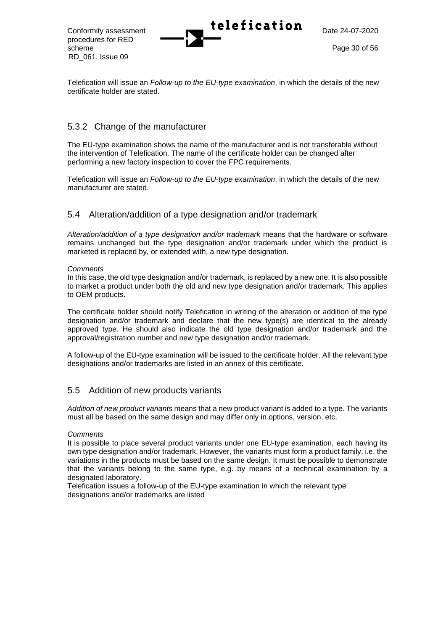procedures for RED scheme Page 30 of 56 RD\_061, Issue 09



Telefication will issue an *Follow-up to the EU-type examination*, in which the details of the new certificate holder are stated.

## 5.3.2 Change of the manufacturer

The EU-type examination shows the name of the manufacturer and is not transferable without the intervention of Telefication. The name of the certificate holder can be changed after performing a new factory inspection to cover the FPC requirements.

Telefication will issue an *Follow-up to the EU-type examination*, in which the details of the new manufacturer are stated.

## 5.4 Alteration/addition of a type designation and/or trademark

*Alteration/addition of a type designation and/or trademark* means that the hardware or software remains unchanged but the type designation and/or trademark under which the product is marketed is replaced by, or extended with, a new type designation.

#### *Comments*

In this case, the old type designation and/or trademark, is replaced by a new one. It is also possible to market a product under both the old and new type designation and/or trademark. This applies to OEM products.

The certificate holder should notify Telefication in writing of the alteration or addition of the type designation and/or trademark and declare that the new type(s) are identical to the already approved type. He should also indicate the old type designation and/or trademark and the approval/registration number and new type designation and/or trademark.

A follow-up of the EU-type examination will be issued to the certificate holder. All the relevant type designations and/or trademarks are listed in an annex of this certificate.

## 5.5 Addition of new products variants

*Addition of new product variants* means that a new product variant is added to a type. The variants must all be based on the same design and may differ only in options, version, etc.

#### *Comments*

It is possible to place several product variants under one EU-type examination, each having its own type designation and/or trademark. However, the variants must form a product family, i.e. the variations in the products must be based on the same design. It must be possible to demonstrate that the variants belong to the same type, e.g. by means of a technical examination by a designated laboratory.

Telefication issues a follow-up of the EU-type examination in which the relevant type designations and/or trademarks are listed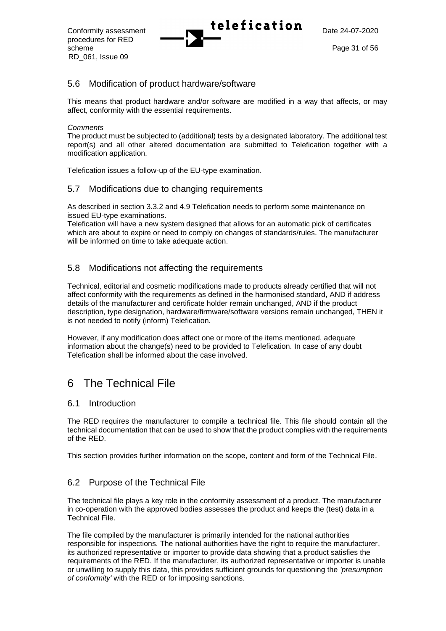procedures for RED scheme Page 31 of 56 RD\_061, Issue 09

# Conformity assessment **Lelefication**  $\sum_{\text{Date } 24-07-2020}$

## 5.6 Modification of product hardware/software

This means that product hardware and/or software are modified in a way that affects, or may affect, conformity with the essential requirements.

#### *Comments*

The product must be subjected to (additional) tests by a designated laboratory. The additional test report(s) and all other altered documentation are submitted to Telefication together with a modification application.

Telefication issues a follow-up of the EU-type examination.

## 5.7 Modifications due to changing requirements

As described in section [3.3.2](#page-23-0) and [4.9](#page-27-0) Telefication needs to perform some maintenance on issued EU-type examinations.

Telefication will have a new system designed that allows for an automatic pick of certificates which are about to expire or need to comply on changes of standards/rules. The manufacturer will be informed on time to take adequate action.

## 5.8 Modifications not affecting the requirements

Technical, editorial and cosmetic modifications made to products already certified that will not affect conformity with the requirements as defined in the harmonised standard, AND if address details of the manufacturer and certificate holder remain unchanged, AND if the product description, type designation, hardware/firmware/software versions remain unchanged, THEN it is not needed to notify (inform) Telefication.

However, if any modification does affect one or more of the items mentioned, adequate information about the change(s) need to be provided to Telefication. In case of any doubt Telefication shall be informed about the case involved.

## <span id="page-30-0"></span>6 The Technical File

## 6.1 Introduction

The RED requires the manufacturer to compile a technical file. This file should contain all the technical documentation that can be used to show that the product complies with the requirements of the RED.

This section provides further information on the scope, content and form of the Technical File.

## 6.2 Purpose of the Technical File

The technical file plays a key role in the conformity assessment of a product. The manufacturer in co-operation with the approved bodies assesses the product and keeps the (test) data in a Technical File.

The file compiled by the manufacturer is primarily intended for the national authorities responsible for inspections. The national authorities have the right to require the manufacturer, its authorized representative or importer to provide data showing that a product satisfies the requirements of the RED. If the manufacturer, its authorized representative or importer is unable or unwilling to supply this data, this provides sufficient grounds for questioning the *'presumption of conformity'* with the RED or for imposing sanctions.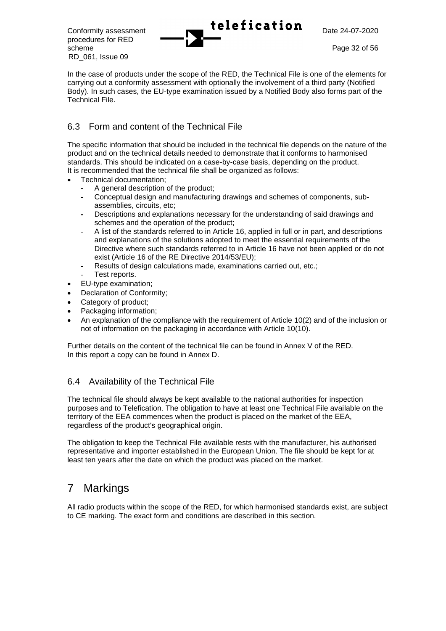procedures for RED scheme Page 32 of 56 RD\_061, Issue 09



In the case of products under the scope of the RED, the Technical File is one of the elements for carrying out a conformity assessment with optionally the involvement of a third party (Notified Body). In such cases, the EU-type examination issued by a Notified Body also forms part of the Technical File.

## 6.3 Form and content of the Technical File

The specific information that should be included in the technical file depends on the nature of the product and on the technical details needed to demonstrate that it conforms to harmonised standards. This should be indicated on a case-by-case basis, depending on the product. It is recommended that the technical file shall be organized as follows:

- Technical documentation;
	- **-** A general description of the product;
	- **-** Conceptual design and manufacturing drawings and schemes of components, subassemblies, circuits, etc;
	- **-** Descriptions and explanations necessary for the understanding of said drawings and schemes and the operation of the product;
	- A list of the standards referred to in Article 16, applied in full or in part, and descriptions and explanations of the solutions adopted to meet the essential requirements of the Directive where such standards referred to in Article 16 have not been applied or do not exist (Article 16 of the RE Directive 2014/53/EU);
	- **-** Results of design calculations made, examinations carried out, etc.;
- Test reports.
- EU-type examination;
- Declaration of Conformity;
- Category of product;
- Packaging information;
- An explanation of the compliance with the requirement of Article 10(2) and of the inclusion or not of information on the packaging in accordance with Article 10(10).

Further details on the content of the technical file can be found in Annex V of the RED. In this report a copy can be found in Annex D.

## 6.4 Availability of the Technical File

The technical file should always be kept available to the national authorities for inspection purposes and to Telefication. The obligation to have at least one Technical File available on the territory of the EEA commences when the product is placed on the market of the EEA, regardless of the product's geographical origin.

The obligation to keep the Technical File available rests with the manufacturer, his authorised representative and importer established in the European Union. The file should be kept for at least ten years after the date on which the product was placed on the market.

## 7 Markings

All radio products within the scope of the RED, for which harmonised standards exist, are subject to CE marking. The exact form and conditions are described in this section.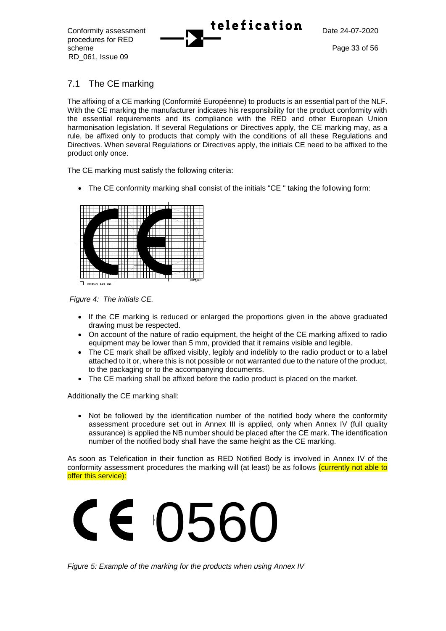procedures for RED scheme Page 33 of 56 RD\_061, Issue 09



## 7.1 The CE marking

The affixing of a CE marking (Conformité Européenne) to products is an essential part of the NLF. With the CE marking the manufacturer indicates his responsibility for the product conformity with the essential requirements and its compliance with the RED and other European Union harmonisation legislation. If several Regulations or Directives apply, the CE marking may, as a rule, be affixed only to products that comply with the conditions of all these Regulations and Directives. When several Regulations or Directives apply, the initials CE need to be affixed to the product only once.

The CE marking must satisfy the following criteria:

• The CE conformity marking shall consist of the initials "CE " taking the following form:



*Figure 4: The initials CE.*

- If the CE marking is reduced or enlarged the proportions given in the above graduated drawing must be respected.
- On account of the nature of radio equipment, the height of the CE marking affixed to radio equipment may be lower than 5 mm, provided that it remains visible and legible.
- The CE mark shall be affixed visibly, legibly and indelibly to the radio product or to a label attached to it or, where this is not possible or not warranted due to the nature of the product, to the packaging or to the accompanying documents.
- The CE marking shall be affixed before the radio product is placed on the market.

Additionally the CE marking shall:

• Not be followed by the identification number of the notified body where the conformity assessment procedure set out in Annex III is applied, only when Annex IV (full quality assurance) is applied the NB number should be placed after the CE mark. The identification number of the notified body shall have the same height as the CE marking.

As soon as Telefication in their function as RED Notified Body is involved in Annex IV of the conformity assessment procedures the marking will (at least) be as follows (currently not able to offer this service):



*Figure 5: Example of the marking for the products when using Annex IV*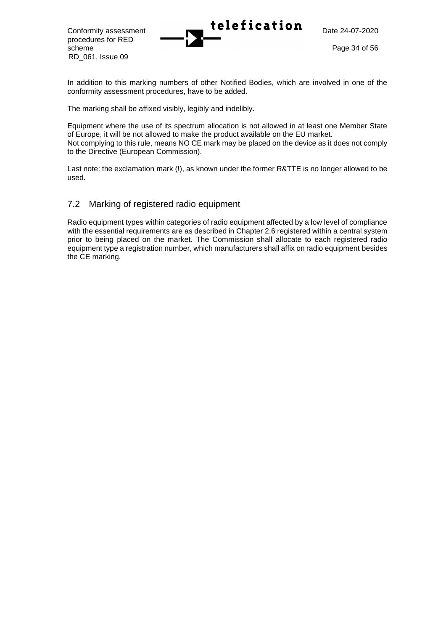RD\_061, Issue 09

In addition to this marking numbers of other Notified Bodies, which are involved in one of the conformity assessment procedures, have to be added.

The marking shall be affixed visibly, legibly and indelibly.

Equipment where the use of its spectrum allocation is not allowed in at least one Member State of Europe, it will be not allowed to make the product available on the EU market. Not complying to this rule, means NO CE mark may be placed on the device as it does not comply to the Directive (European Commission).

Last note: the exclamation mark (!), as known under the former R&TTE is no longer allowed to be used.

## 7.2 Marking of registered radio equipment

Radio equipment types within categories of radio equipment affected by a low level of compliance with the essential requirements are as described in Chapter 2.6 registered within a central system prior to being placed on the market. The Commission shall allocate to each registered radio equipment type a registration number, which manufacturers shall affix on radio equipment besides the CE marking.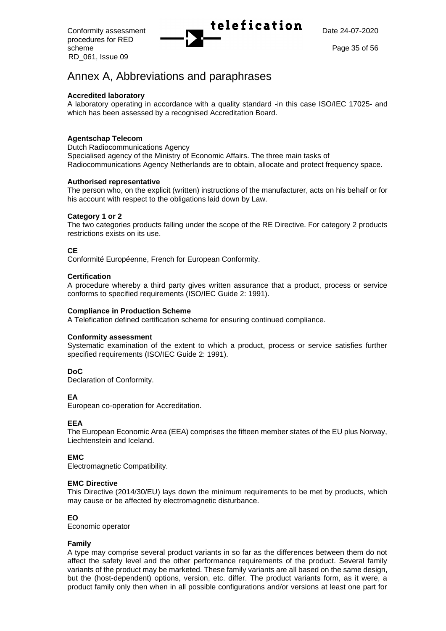procedures for RED scheme Page 35 of 56 RD\_061, Issue 09

Conformity assessment **Telefication** Date 24-07-2020

## Annex A, Abbreviations and paraphrases

#### **Accredited laboratory**

A laboratory operating in accordance with a quality standard -in this case ISO/IEC 17025- and which has been assessed by a recognised Accreditation Board.

#### **Agentschap Telecom**

Dutch Radiocommunications Agency Specialised agency of the Ministry of Economic Affairs. The three main tasks of Radiocommunications Agency Netherlands are to obtain, allocate and protect frequency space.

#### **Authorised representative**

The person who, on the explicit (written) instructions of the manufacturer, acts on his behalf or for his account with respect to the obligations laid down by Law.

#### **Category 1 or 2**

The two categories products falling under the scope of the RE Directive. For category 2 products restrictions exists on its use.

#### **CE**

Conformité Européenne, French for European Conformity.

#### **Certification**

A procedure whereby a third party gives written assurance that a product, process or service conforms to specified requirements (ISO/IEC Guide 2: 1991).

#### **Compliance in Production Scheme**

A Telefication defined certification scheme for ensuring continued compliance.

#### **Conformity assessment**

Systematic examination of the extent to which a product, process or service satisfies further specified requirements (ISO/IEC Guide 2: 1991).

#### **DoC**

Declaration of Conformity.

#### **EA**

European co-operation for Accreditation.

#### **EEA**

The European Economic Area (EEA) comprises the fifteen member states of the EU plus Norway, Liechtenstein and Iceland.

#### **EMC**

Electromagnetic Compatibility.

#### **EMC Directive**

This Directive (2014/30/EU) lays down the minimum requirements to be met by products, which may cause or be affected by electromagnetic disturbance.

#### **EO**

Economic operator

#### **Family**

A type may comprise several product variants in so far as the differences between them do not affect the safety level and the other performance requirements of the product. Several family variants of the product may be marketed. These family variants are all based on the same design, but the (host-dependent) options, version, etc. differ. The product variants form, as it were, a product family only then when in all possible configurations and/or versions at least one part for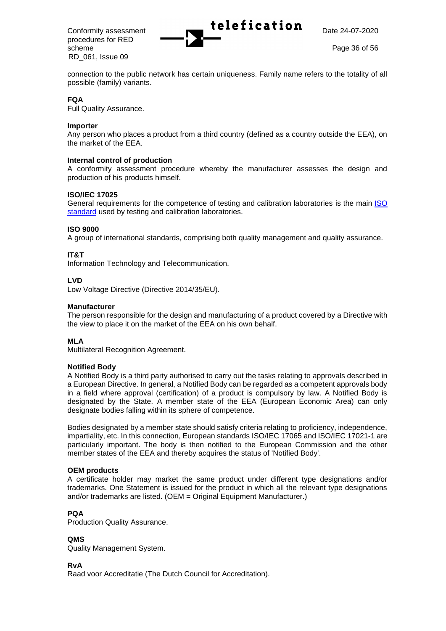procedures for RED scheme Page 36 of 56 RD\_061, Issue 09



connection to the public network has certain uniqueness. Family name refers to the totality of all possible (family) variants.

#### **FQA**

Full Quality Assurance.

#### **Importer**

Any person who places a product from a third country (defined as a country outside the EEA), on the market of the EEA.

#### **Internal control of production**

A conformity assessment procedure whereby the manufacturer assesses the design and production of his products himself.

#### **ISO/IEC 17025**

General requirements for the competence of testing and calibration laboratories is the main [ISO](https://en.wikipedia.org/wiki/List_of_International_Organization_for_Standardization_standards)  [standard](https://en.wikipedia.org/wiki/List_of_International_Organization_for_Standardization_standards) used by testing and calibration laboratories.

#### **ISO 9000**

A group of international standards, comprising both quality management and quality assurance.

#### **IT&T**

Information Technology and Telecommunication.

#### **LVD**

Low Voltage Directive (Directive 2014/35/EU).

#### **Manufacturer**

The person responsible for the design and manufacturing of a product covered by a Directive with the view to place it on the market of the EEA on his own behalf.

### **MLA**

Multilateral Recognition Agreement.

#### **Notified Body**

A Notified Body is a third party authorised to carry out the tasks relating to approvals described in a European Directive. In general, a Notified Body can be regarded as a competent approvals body in a field where approval (certification) of a product is compulsory by law. A Notified Body is designated by the State. A member state of the EEA (European Economic Area) can only designate bodies falling within its sphere of competence.

Bodies designated by a member state should satisfy criteria relating to proficiency, independence, impartiality, etc. In this connection, European standards ISO/IEC 17065 and ISO/IEC 17021-1 are particularly important. The body is then notified to the European Commission and the other member states of the EEA and thereby acquires the status of 'Notified Body'.

#### **OEM products**

A certificate holder may market the same product under different type designations and/or trademarks. One Statement is issued for the product in which all the relevant type designations and/or trademarks are listed. (OEM = Original Equipment Manufacturer.)

### **PQA**

Production Quality Assurance.

### **QMS**

Quality Management System.

#### **RvA**

Raad voor Accreditatie (The Dutch Council for Accreditation).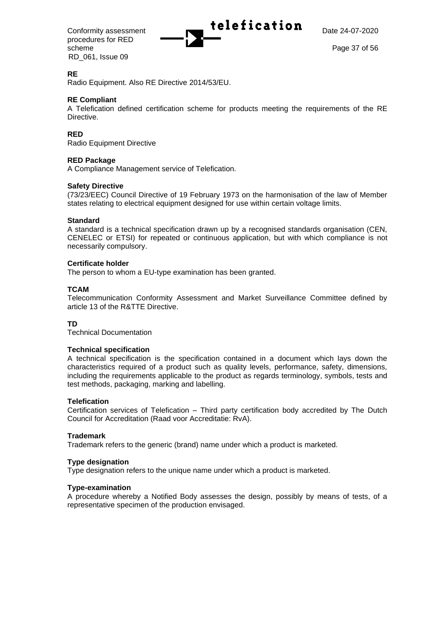procedures for RED scheme Page 37 of 56 RD\_061, Issue 09



#### **RE**

Radio Equipment. Also RE Directive 2014/53/EU.

#### **RE Compliant**

A Telefication defined certification scheme for products meeting the requirements of the RE Directive.

#### **RED**

Radio Equipment Directive

#### **RED Package**

A Compliance Management service of Telefication.

#### **Safety Directive**

(73/23/EEC) Council Directive of 19 February 1973 on the harmonisation of the law of Member states relating to electrical equipment designed for use within certain voltage limits.

#### **Standard**

A standard is a technical specification drawn up by a recognised standards organisation (CEN, CENELEC or ETSI) for repeated or continuous application, but with which compliance is not necessarily compulsory.

#### **Certificate holder**

The person to whom a EU-type examination has been granted.

#### **TCAM**

Telecommunication Conformity Assessment and Market Surveillance Committee defined by article 13 of the R&TTE Directive.

#### **TD**

Technical Documentation

#### **Technical specification**

A technical specification is the specification contained in a document which lays down the characteristics required of a product such as quality levels, performance, safety, dimensions, including the requirements applicable to the product as regards terminology, symbols, tests and test methods, packaging, marking and labelling.

#### **Telefication**

Certification services of Telefication – Third party certification body accredited by The Dutch Council for Accreditation (Raad voor Accreditatie: RvA).

#### **Trademark**

Trademark refers to the generic (brand) name under which a product is marketed.

#### **Type designation**

Type designation refers to the unique name under which a product is marketed.

#### **Type-examination**

A procedure whereby a Notified Body assesses the design, possibly by means of tests, of a representative specimen of the production envisaged.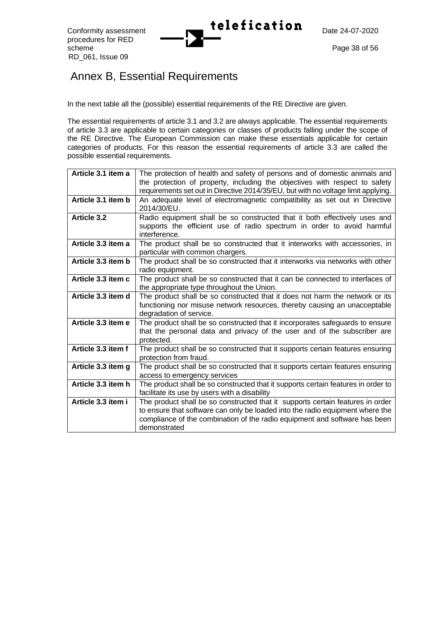# Annex B, Essential Requirements

In the next table all the (possible) essential requirements of the RE Directive are given.

The essential requirements of article 3.1 and 3.2 are always applicable. The essential requirements of article 3.3 are applicable to certain categories or classes of products falling under the scope of the RE Directive. The European Commission can make these essentials applicable for certain categories of products. For this reason the essential requirements of article 3.3 are called the possible essential requirements.

| Article 3.1 item a | The protection of health and safety of persons and of domestic animals and<br>the protection of property, including the objectives with respect to safety                                                                                                     |
|--------------------|---------------------------------------------------------------------------------------------------------------------------------------------------------------------------------------------------------------------------------------------------------------|
| Article 3.1 item b | requirements set out in Directive 2014/35/EU, but with no voltage limit applying.<br>An adequate level of electromagnetic compatibility as set out in Directive<br>2014/30/EU.                                                                                |
| <b>Article 3.2</b> | Radio equipment shall be so constructed that it both effectively uses and<br>supports the efficient use of radio spectrum in order to avoid harmful<br>interference.                                                                                          |
| Article 3.3 item a | The product shall be so constructed that it interworks with accessories, in<br>particular with common chargers.                                                                                                                                               |
| Article 3.3 item b | The product shall be so constructed that it interworks via networks with other<br>radio equipment.                                                                                                                                                            |
| Article 3.3 item c | The product shall be so constructed that it can be connected to interfaces of<br>the appropriate type throughout the Union.                                                                                                                                   |
| Article 3.3 item d | The product shall be so constructed that it does not harm the network or its<br>functioning nor misuse network resources, thereby causing an unacceptable<br>degradation of service.                                                                          |
| Article 3.3 item e | The product shall be so constructed that it incorporates safeguards to ensure<br>that the personal data and privacy of the user and of the subscriber are<br>protected.                                                                                       |
| Article 3.3 item f | The product shall be so constructed that it supports certain features ensuring<br>protection from fraud.                                                                                                                                                      |
| Article 3.3 item g | The product shall be so constructed that it supports certain features ensuring<br>access to emergency services                                                                                                                                                |
| Article 3.3 item h | The product shall be so constructed that it supports certain features in order to<br>facilitate its use by users with a disability                                                                                                                            |
| Article 3.3 item i | The product shall be so constructed that it supports certain features in order<br>to ensure that software can only be loaded into the radio equipment where the<br>compliance of the combination of the radio equipment and software has been<br>demonstrated |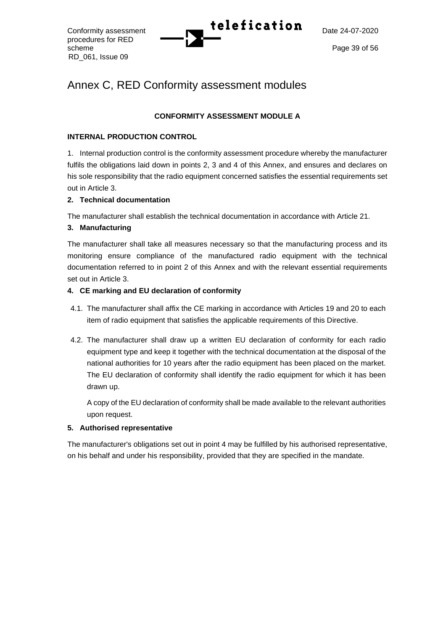procedures for RED scheme Page 39 of 56 RD\_061, Issue 09

# Conformity assessment **Telefication** Date 24-07-2020

## Annex C, RED Conformity assessment modules

## **CONFORMITY ASSESSMENT MODULE A**

## **INTERNAL PRODUCTION CONTROL**

1. Internal production control is the conformity assessment procedure whereby the manufacturer fulfils the obligations laid down in points 2, 3 and 4 of this Annex, and ensures and declares on his sole responsibility that the radio equipment concerned satisfies the essential requirements set out in Article 3.

## **2. Technical documentation**

The manufacturer shall establish the technical documentation in accordance with Article 21.

## **3. Manufacturing**

The manufacturer shall take all measures necessary so that the manufacturing process and its monitoring ensure compliance of the manufactured radio equipment with the technical documentation referred to in point 2 of this Annex and with the relevant essential requirements set out in Article 3.

## **4. CE marking and EU declaration of conformity**

- 4.1. The manufacturer shall affix the CE marking in accordance with Articles 19 and 20 to each item of radio equipment that satisfies the applicable requirements of this Directive.
- 4.2. The manufacturer shall draw up a written EU declaration of conformity for each radio equipment type and keep it together with the technical documentation at the disposal of the national authorities for 10 years after the radio equipment has been placed on the market. The EU declaration of conformity shall identify the radio equipment for which it has been drawn up.

A copy of the EU declaration of conformity shall be made available to the relevant authorities upon request.

### **5. Authorised representative**

The manufacturer's obligations set out in point 4 may be fulfilled by his authorised representative, on his behalf and under his responsibility, provided that they are specified in the mandate.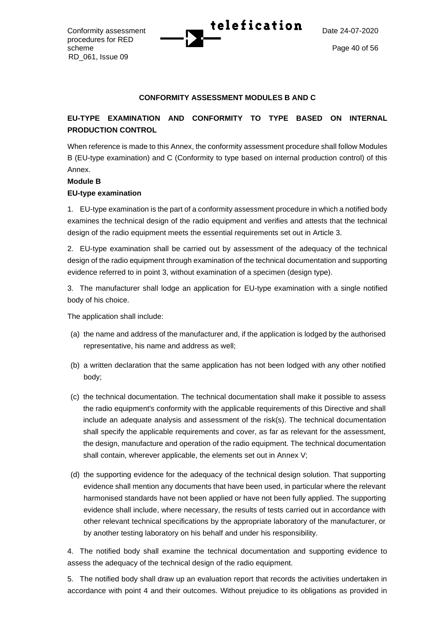procedures for RED scheme Page 40 of 56 RD\_061, Issue 09



#### **CONFORMITY ASSESSMENT MODULES B AND C**

## **EU-TYPE EXAMINATION AND CONFORMITY TO TYPE BASED ON INTERNAL PRODUCTION CONTROL**

When reference is made to this Annex, the conformity assessment procedure shall follow Modules B (EU-type examination) and C (Conformity to type based on internal production control) of this Annex.

## **Module B EU-type examination**

1. EU-type examination is the part of a conformity assessment procedure in which a notified body examines the technical design of the radio equipment and verifies and attests that the technical design of the radio equipment meets the essential requirements set out in Article 3.

2. EU-type examination shall be carried out by assessment of the adequacy of the technical design of the radio equipment through examination of the technical documentation and supporting evidence referred to in point 3, without examination of a specimen (design type).

3. The manufacturer shall lodge an application for EU-type examination with a single notified body of his choice.

The application shall include:

- (a) the name and address of the manufacturer and, if the application is lodged by the authorised representative, his name and address as well;
- (b) a written declaration that the same application has not been lodged with any other notified body;
- (c) the technical documentation. The technical documentation shall make it possible to assess the radio equipment's conformity with the applicable requirements of this Directive and shall include an adequate analysis and assessment of the risk(s). The technical documentation shall specify the applicable requirements and cover, as far as relevant for the assessment, the design, manufacture and operation of the radio equipment. The technical documentation shall contain, wherever applicable, the elements set out in Annex V;
- (d) the supporting evidence for the adequacy of the technical design solution. That supporting evidence shall mention any documents that have been used, in particular where the relevant harmonised standards have not been applied or have not been fully applied. The supporting evidence shall include, where necessary, the results of tests carried out in accordance with other relevant technical specifications by the appropriate laboratory of the manufacturer, or by another testing laboratory on his behalf and under his responsibility.

4. The notified body shall examine the technical documentation and supporting evidence to assess the adequacy of the technical design of the radio equipment.

5. The notified body shall draw up an evaluation report that records the activities undertaken in accordance with point 4 and their outcomes. Without prejudice to its obligations as provided in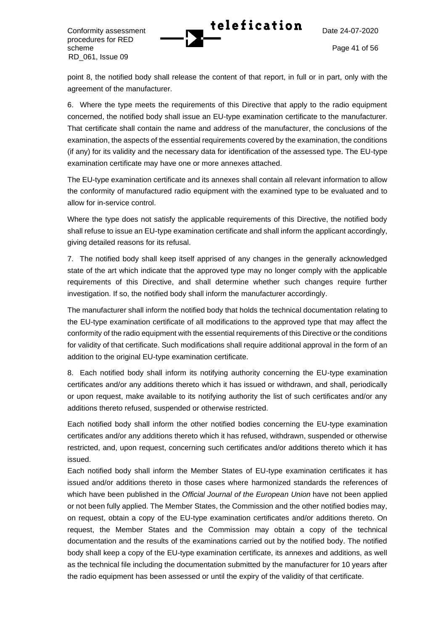Conformity assessment **Telefication** Date 24-07-2020

procedures for RED scheme Page 41 of 56 RD\_061, Issue 09

point 8, the notified body shall release the content of that report, in full or in part, only with the agreement of the manufacturer.

6. Where the type meets the requirements of this Directive that apply to the radio equipment concerned, the notified body shall issue an EU-type examination certificate to the manufacturer. That certificate shall contain the name and address of the manufacturer, the conclusions of the examination, the aspects of the essential requirements covered by the examination, the conditions (if any) for its validity and the necessary data for identification of the assessed type. The EU-type examination certificate may have one or more annexes attached.

The EU-type examination certificate and its annexes shall contain all relevant information to allow the conformity of manufactured radio equipment with the examined type to be evaluated and to allow for in-service control.

Where the type does not satisfy the applicable requirements of this Directive, the notified body shall refuse to issue an EU-type examination certificate and shall inform the applicant accordingly, giving detailed reasons for its refusal.

7. The notified body shall keep itself apprised of any changes in the generally acknowledged state of the art which indicate that the approved type may no longer comply with the applicable requirements of this Directive, and shall determine whether such changes require further investigation. If so, the notified body shall inform the manufacturer accordingly.

The manufacturer shall inform the notified body that holds the technical documentation relating to the EU-type examination certificate of all modifications to the approved type that may affect the conformity of the radio equipment with the essential requirements of this Directive or the conditions for validity of that certificate. Such modifications shall require additional approval in the form of an addition to the original EU-type examination certificate.

8. Each notified body shall inform its notifying authority concerning the EU-type examination certificates and/or any additions thereto which it has issued or withdrawn, and shall, periodically or upon request, make available to its notifying authority the list of such certificates and/or any additions thereto refused, suspended or otherwise restricted.

Each notified body shall inform the other notified bodies concerning the EU-type examination certificates and/or any additions thereto which it has refused, withdrawn, suspended or otherwise restricted, and, upon request, concerning such certificates and/or additions thereto which it has issued.

Each notified body shall inform the Member States of EU-type examination certificates it has issued and/or additions thereto in those cases where harmonized standards the references of which have been published in the *Official Journal of the European Union* have not been applied or not been fully applied. The Member States, the Commission and the other notified bodies may, on request, obtain a copy of the EU-type examination certificates and/or additions thereto. On request, the Member States and the Commission may obtain a copy of the technical documentation and the results of the examinations carried out by the notified body. The notified body shall keep a copy of the EU-type examination certificate, its annexes and additions, as well as the technical file including the documentation submitted by the manufacturer for 10 years after the radio equipment has been assessed or until the expiry of the validity of that certificate.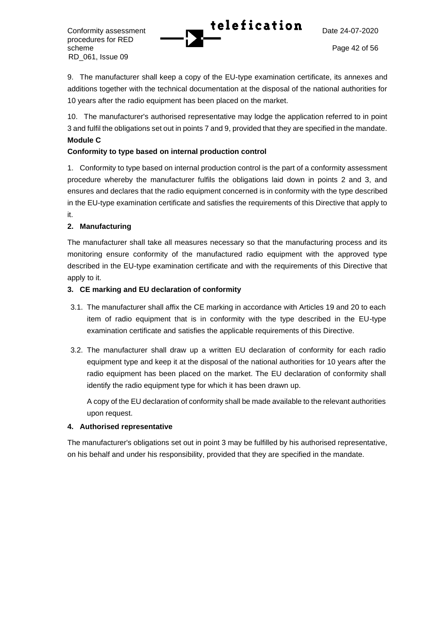Conformity assessment **Telefication** Date 24-07-2020

procedures for RED scheme Page 42 of 56 RD\_061, Issue 09

9. The manufacturer shall keep a copy of the EU-type examination certificate, its annexes and additions together with the technical documentation at the disposal of the national authorities for 10 years after the radio equipment has been placed on the market.

10. The manufacturer's authorised representative may lodge the application referred to in point 3 and fulfil the obligations set out in points 7 and 9, provided that they are specified in the mandate. **Module C**

## **Conformity to type based on internal production control**

1. Conformity to type based on internal production control is the part of a conformity assessment procedure whereby the manufacturer fulfils the obligations laid down in points 2 and 3, and ensures and declares that the radio equipment concerned is in conformity with the type described in the EU-type examination certificate and satisfies the requirements of this Directive that apply to it.

## **2. Manufacturing**

The manufacturer shall take all measures necessary so that the manufacturing process and its monitoring ensure conformity of the manufactured radio equipment with the approved type described in the EU-type examination certificate and with the requirements of this Directive that apply to it.

### **3. CE marking and EU declaration of conformity**

- 3.1. The manufacturer shall affix the CE marking in accordance with Articles 19 and 20 to each item of radio equipment that is in conformity with the type described in the EU-type examination certificate and satisfies the applicable requirements of this Directive.
- 3.2. The manufacturer shall draw up a written EU declaration of conformity for each radio equipment type and keep it at the disposal of the national authorities for 10 years after the radio equipment has been placed on the market. The EU declaration of conformity shall identify the radio equipment type for which it has been drawn up.

A copy of the EU declaration of conformity shall be made available to the relevant authorities upon request.

### **4. Authorised representative**

The manufacturer's obligations set out in point 3 may be fulfilled by his authorised representative, on his behalf and under his responsibility, provided that they are specified in the mandate.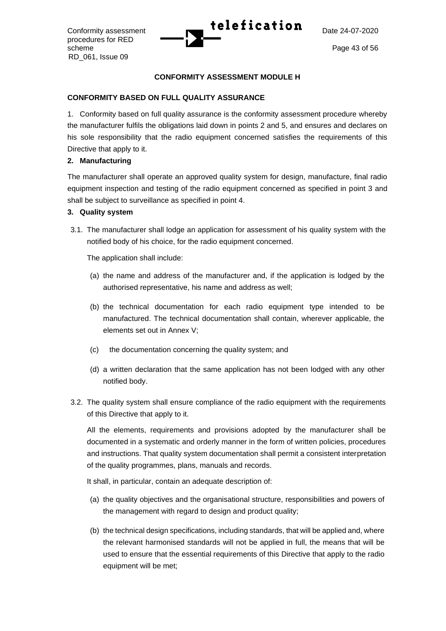procedures for RED scheme Page 43 of 56 RD\_061, Issue 09



### **CONFORMITY ASSESSMENT MODULE H**

### **CONFORMITY BASED ON FULL QUALITY ASSURANCE**

1. Conformity based on full quality assurance is the conformity assessment procedure whereby the manufacturer fulfils the obligations laid down in points 2 and 5, and ensures and declares on his sole responsibility that the radio equipment concerned satisfies the requirements of this Directive that apply to it.

## **2. Manufacturing**

The manufacturer shall operate an approved quality system for design, manufacture, final radio equipment inspection and testing of the radio equipment concerned as specified in point 3 and shall be subject to surveillance as specified in point 4.

### **3. Quality system**

3.1. The manufacturer shall lodge an application for assessment of his quality system with the notified body of his choice, for the radio equipment concerned.

The application shall include:

- (a) the name and address of the manufacturer and, if the application is lodged by the authorised representative, his name and address as well;
- (b) the technical documentation for each radio equipment type intended to be manufactured. The technical documentation shall contain, wherever applicable, the elements set out in Annex V;
- (c) the documentation concerning the quality system; and
- (d) a written declaration that the same application has not been lodged with any other notified body.
- 3.2. The quality system shall ensure compliance of the radio equipment with the requirements of this Directive that apply to it.

All the elements, requirements and provisions adopted by the manufacturer shall be documented in a systematic and orderly manner in the form of written policies, procedures and instructions. That quality system documentation shall permit a consistent interpretation of the quality programmes, plans, manuals and records.

It shall, in particular, contain an adequate description of:

- (a) the quality objectives and the organisational structure, responsibilities and powers of the management with regard to design and product quality;
- (b) the technical design specifications, including standards, that will be applied and, where the relevant harmonised standards will not be applied in full, the means that will be used to ensure that the essential requirements of this Directive that apply to the radio equipment will be met;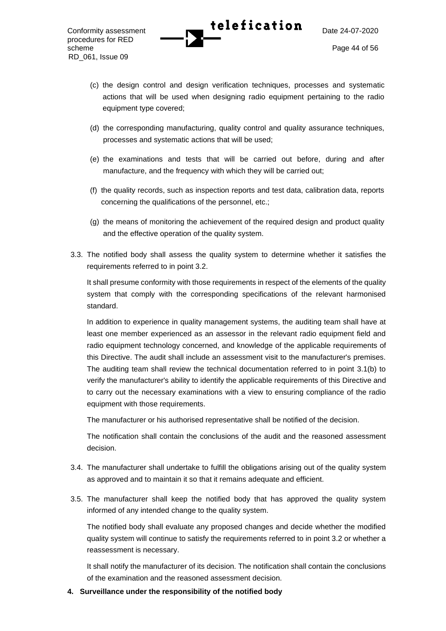- (c) the design control and design verification techniques, processes and systematic actions that will be used when designing radio equipment pertaining to the radio equipment type covered;
- (d) the corresponding manufacturing, quality control and quality assurance techniques, processes and systematic actions that will be used;
- (e) the examinations and tests that will be carried out before, during and after manufacture, and the frequency with which they will be carried out;
- (f) the quality records, such as inspection reports and test data, calibration data, reports concerning the qualifications of the personnel, etc.;
- (g) the means of monitoring the achievement of the required design and product quality and the effective operation of the quality system.
- 3.3. The notified body shall assess the quality system to determine whether it satisfies the requirements referred to in point 3.2.

It shall presume conformity with those requirements in respect of the elements of the quality system that comply with the corresponding specifications of the relevant harmonised standard.

In addition to experience in quality management systems, the auditing team shall have at least one member experienced as an assessor in the relevant radio equipment field and radio equipment technology concerned, and knowledge of the applicable requirements of this Directive. The audit shall include an assessment visit to the manufacturer's premises. The auditing team shall review the technical documentation referred to in point 3.1(b) to verify the manufacturer's ability to identify the applicable requirements of this Directive and to carry out the necessary examinations with a view to ensuring compliance of the radio equipment with those requirements.

The manufacturer or his authorised representative shall be notified of the decision.

The notification shall contain the conclusions of the audit and the reasoned assessment decision.

- 3.4. The manufacturer shall undertake to fulfill the obligations arising out of the quality system as approved and to maintain it so that it remains adequate and efficient.
- 3.5. The manufacturer shall keep the notified body that has approved the quality system informed of any intended change to the quality system.

The notified body shall evaluate any proposed changes and decide whether the modified quality system will continue to satisfy the requirements referred to in point 3.2 or whether a reassessment is necessary.

It shall notify the manufacturer of its decision. The notification shall contain the conclusions of the examination and the reasoned assessment decision.

**4. Surveillance under the responsibility of the notified body**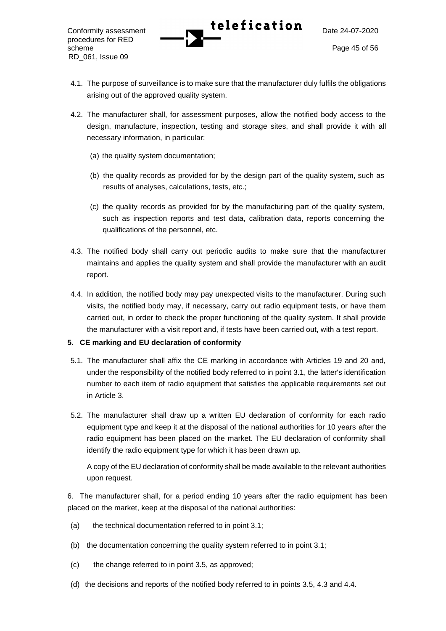Conformity assessment **Telefication** Date 24-07-2020 procedures for RED scheme Page 45 of 56 RD\_061, Issue 09

- 4.1. The purpose of surveillance is to make sure that the manufacturer duly fulfils the obligations arising out of the approved quality system.
- 4.2. The manufacturer shall, for assessment purposes, allow the notified body access to the design, manufacture, inspection, testing and storage sites, and shall provide it with all necessary information, in particular:
	- (a) the quality system documentation;
	- (b) the quality records as provided for by the design part of the quality system, such as results of analyses, calculations, tests, etc.;
	- (c) the quality records as provided for by the manufacturing part of the quality system, such as inspection reports and test data, calibration data, reports concerning the qualifications of the personnel, etc.
- 4.3. The notified body shall carry out periodic audits to make sure that the manufacturer maintains and applies the quality system and shall provide the manufacturer with an audit report.
- 4.4. In addition, the notified body may pay unexpected visits to the manufacturer. During such visits, the notified body may, if necessary, carry out radio equipment tests, or have them carried out, in order to check the proper functioning of the quality system. It shall provide the manufacturer with a visit report and, if tests have been carried out, with a test report.

### **5. CE marking and EU declaration of conformity**

- 5.1. The manufacturer shall affix the CE marking in accordance with Articles 19 and 20 and, under the responsibility of the notified body referred to in point 3.1, the latter's identification number to each item of radio equipment that satisfies the applicable requirements set out in Article 3.
- 5.2. The manufacturer shall draw up a written EU declaration of conformity for each radio equipment type and keep it at the disposal of the national authorities for 10 years after the radio equipment has been placed on the market. The EU declaration of conformity shall identify the radio equipment type for which it has been drawn up.

A copy of the EU declaration of conformity shall be made available to the relevant authorities upon request.

6. The manufacturer shall, for a period ending 10 years after the radio equipment has been placed on the market, keep at the disposal of the national authorities:

- (a) the technical documentation referred to in point 3.1;
- (b) the documentation concerning the quality system referred to in point 3.1;
- (c) the change referred to in point 3.5, as approved;
- (d) the decisions and reports of the notified body referred to in points 3.5, 4.3 and 4.4.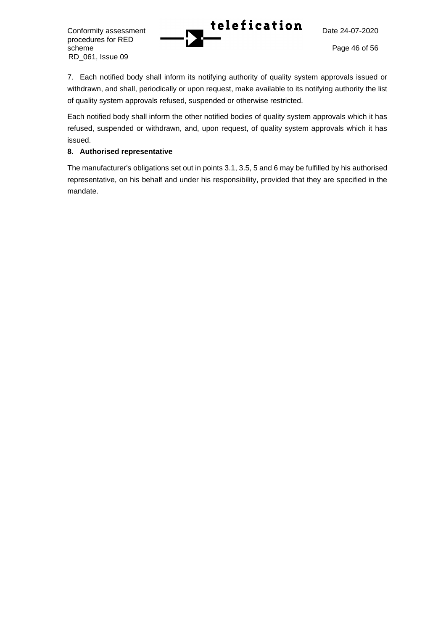procedures for RED scheme Page 46 of 56 RD\_061, Issue 09

7. Each notified body shall inform its notifying authority of quality system approvals issued or withdrawn, and shall, periodically or upon request, make available to its notifying authority the list of quality system approvals refused, suspended or otherwise restricted.

Each notified body shall inform the other notified bodies of quality system approvals which it has refused, suspended or withdrawn, and, upon request, of quality system approvals which it has issued.

## **8. Authorised representative**

The manufacturer's obligations set out in points 3.1, 3.5, 5 and 6 may be fulfilled by his authorised representative, on his behalf and under his responsibility, provided that they are specified in the mandate.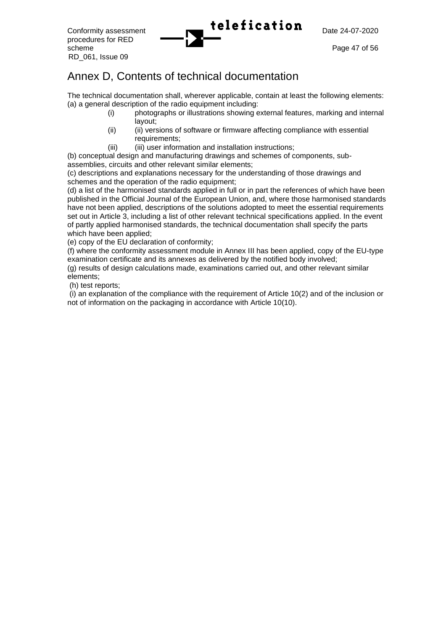procedures for RED scheme Page 47 of 56 RD\_061, Issue 09



# Annex D, Contents of technical documentation

The technical documentation shall, wherever applicable, contain at least the following elements: (a) a general description of the radio equipment including:

- (i) photographs or illustrations showing external features, marking and internal layout;
- (ii) (ii) versions of software or firmware affecting compliance with essential requirements:
- (iii) (iii) user information and installation instructions;

(b) conceptual design and manufacturing drawings and schemes of components, subassemblies, circuits and other relevant similar elements;

(c) descriptions and explanations necessary for the understanding of those drawings and schemes and the operation of the radio equipment;

(d) a list of the harmonised standards applied in full or in part the references of which have been published in the Official Journal of the European Union, and, where those harmonised standards have not been applied, descriptions of the solutions adopted to meet the essential requirements set out in Article 3, including a list of other relevant technical specifications applied. In the event of partly applied harmonised standards, the technical documentation shall specify the parts which have been applied;

(e) copy of the EU declaration of conformity;

(f) where the conformity assessment module in Annex III has been applied, copy of the EU-type examination certificate and its annexes as delivered by the notified body involved;

(g) results of design calculations made, examinations carried out, and other relevant similar elements;

(h) test reports;

(i) an explanation of the compliance with the requirement of Article 10(2) and of the inclusion or not of information on the packaging in accordance with Article 10(10).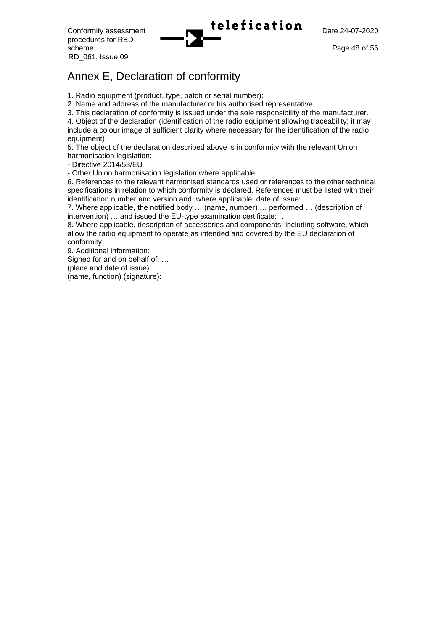procedures for RED scheme Page 48 of 56 RD\_061, Issue 09

## Annex E, Declaration of conformity

1. Radio equipment (product, type, batch or serial number):

2. Name and address of the manufacturer or his authorised representative:

3. This declaration of conformity is issued under the sole responsibility of the manufacturer.

4. Object of the declaration (identification of the radio equipment allowing traceability; it may include a colour image of sufficient clarity where necessary for the identification of the radio equipment):

5. The object of the declaration described above is in conformity with the relevant Union harmonisation legislation:

- Directive 2014/53/EU

- Other Union harmonisation legislation where applicable

6. References to the relevant harmonised standards used or references to the other technical specifications in relation to which conformity is declared. References must be listed with their identification number and version and, where applicable, date of issue:

7. Where applicable, the notified body … (name, number) … performed … (description of intervention) … and issued the EU-type examination certificate: …

8. Where applicable, description of accessories and components, including software, which allow the radio equipment to operate as intended and covered by the EU declaration of conformity:

9. Additional information:

Signed for and on behalf of: …

(place and date of issue):

(name, function) (signature):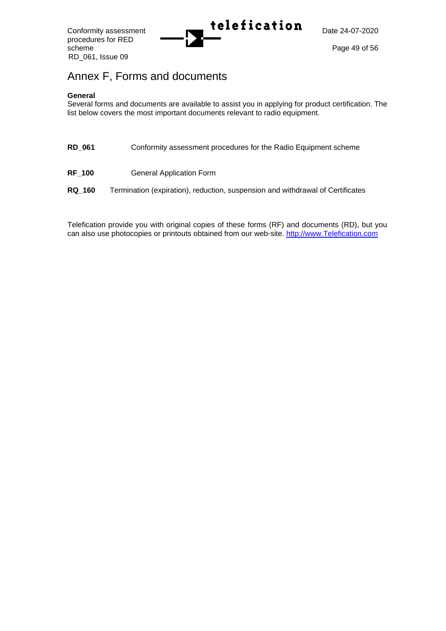procedures for RED scheme Page 49 of 56 RD\_061, Issue 09



# Annex F, Forms and documents

### **General**

Several forms and documents are available to assist you in applying for product certification. The list below covers the most important documents relevant to radio equipment.

| <b>RD_061</b> |  |  | Conformity assessment procedures for the Radio Equipment scheme |
|---------------|--|--|-----------------------------------------------------------------|
|---------------|--|--|-----------------------------------------------------------------|

**RF\_100** General Application Form

**RQ\_160** Termination (expiration), reduction, suspension and withdrawal of Certificates

Telefication provide you with original copies of these forms (RF) and documents (RD), but you can also use photocopies or printouts obtained from our web-site. [http://www.Telefication.com](http://www.ktl.com/)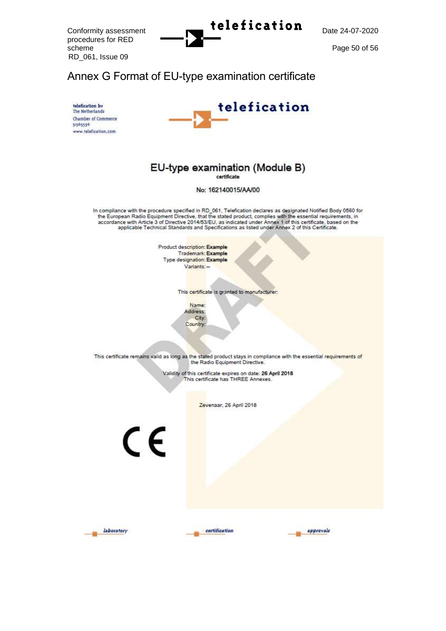procedures for RED scheme Page 50 of 56 RD\_061, Issue 09



## Annex G Format of EU-type examination certificate





# EU-type examination (Module B)

No: 162140015/AA/00

In compliance with the procedure specified in RD 061, Telefication declares as designated Notified Body 0560 for the European Radio Equipment Directive, that the stated product, complies with the essential requirements, in<br>accordance with Article 3 of Directive 2014/53/EU, as indicated under Annex 1 of this certificate, based on the<br>

> Product description: Example Trademark: Example Type designation: Example Variants: -

> > This certificate is granted to manufacturer:

Name: Address: City: Country:

This certificate remains valid as long as the stated product stays in compliance with the essential requirements of the Radio Equipment Directive.

Validity of this certificate expires on date: 26 April 2018<br>This certificate has THREE Annexes.

Zevenaar, 26 April 2018

 $\epsilon$ 



certification

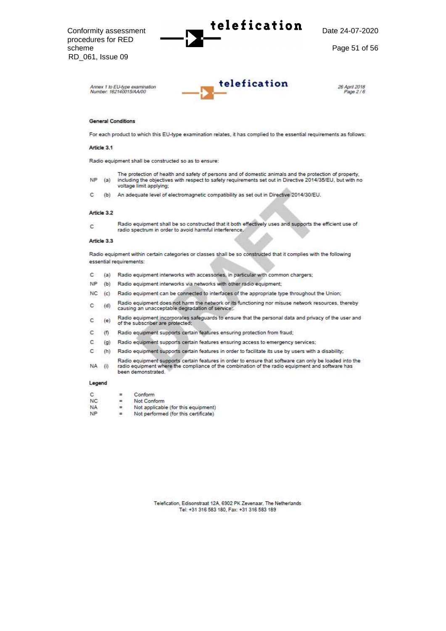Conformity assessment Date 24 procedures for RED scheme Page 51 of 56 RD\_061, Issue 09





26 April 2018 Page 2/6

#### **General Conditions**

For each product to which this EU-type examination relates, it has complied to the essential requirements as follows:

#### Article 3.1

Radio equipment shall be constructed so as to ensure:

- The protection of health and safety of persons and of domestic animals and the protection of property, **NP**  $(a)$ including the objectives with respect to safety requirements set out in Directive 2014/35/EU, but with no voltage limit applying:
- (b) An adequate level of electromagnetic compatibility as set out in Directive 2014/30/EU.  $\mathbb{C}$

#### Article 3.2

 $\epsilon$ 

Radio equipment shall be so constructed that it both effectively uses and supports the efficient use of radio spectrum in order to avoid harmful interference.

#### Article 3.3

Radio equipment within certain categories or classes shall be so constructed that it complies with the following essential requirements:

- C. (a) Radio equipment interworks with accessories, in particular with common chargers;
- NP (b) Radio equipment interworks via networks with other radio equipment;
- NC (c) Radio equipment can be connected to interfaces of the appropriate type throughout the Union;
- Radio equipment does not harm the network or its functioning nor misuse network resources, thereby c  $(d)$ causing an unacceptable degradation of service;
- Radio equipment incorporates safeguards to ensure that the personal data and privacy of the user and  $\mathsf{C}$  $(e)$ of the subscriber are protected;
- c  $(f)$ Radio equipment supports certain features ensuring protection from fraud;
- C (g) Radio equipment supports certain features ensuring access to emergency services;
- c (h) Radio equipment supports certain features in order to facilitate its use by users with a disability;
- Radio equipment supports certain features in order to ensure that software can only be loaded into the<br>radio equipment where the compliance of the combination of the radio equipment and software has NA (i) been demonstrated.

#### Legend

- $\mathcal{C}$ Conform  $=$
- NC.  $\equiv$ Not Conform
- Not applicable (for this equipment) **NA**  $=$
- **NP**  $\equiv$ Not performed (for this certificate)

Telefication, Edisonstraat 12A, 6902 PK Zevenaar, The Netherlands Tel: +31 316 583 180, Fax: +31 316 583 189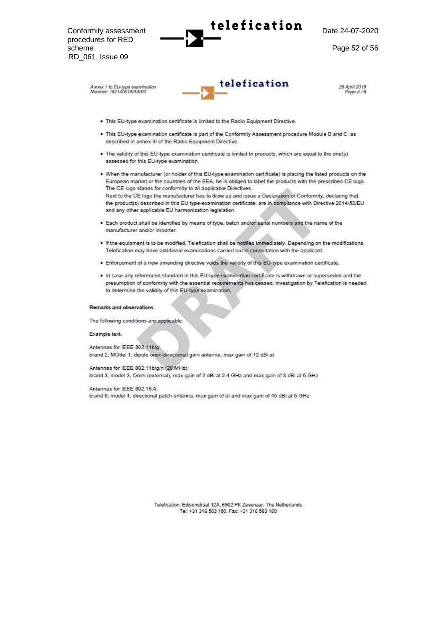procedures for RED scheme Page 52 of 56 RD\_061, Issue 09

Conformity assessment Date 24

-07 -2020



26 April 2018 Psoe 3/6

- . This EU-type examination certificate is limited to the Radio Equipment Directive.
- . This EU-type examination certificate is part of the Conformity Assessment procedure Module B and C, as described in annex III of the Radio Equipment Directive.
- . The validity of this EU-type examination certificate is limited to products, which are equal to the one(s) assessed for this EU-type examination.
- . When the manufacturer (or holder of this EU-type examination certificate) is placing the listed products on the European market or the countries of the EEA, he is obliged to label the products with the prescribed CE logo. The CE logo stands for conformity to all applicable Directives. Next to the CE logo the manufacturer has to draw up and issue a Declaration of Conformity, declaring that the product(s) described in this EU type-examination certificate, are in compliance with Directive 2014/53/EU and any other applicable EU harmonization legislation.
- . Each product shall be identified by means of type, batch and/or serial numbers and the name of the manufacturer and/or importer
- . If the equipment is to be modified, Telefication shall be notified immediately. Depending on the modifications, Telefication may have additional examinations carried out in consultation with the applicant.
- . Enforcement of a new amending directive voids the validity of this EU-type examination certificate.
- . In case any referenced standard in this EU-type examination certificate is withdrawn or superseded and the presumption of conformity with the essential requirements has ceased, investigation by Telefication is needed to determine the validity of this EU-type examination.

#### **Remarks and observations**

The following conditions are applicable:

Example text.

Antennas for IEEE 802.11b/g: brand 2, MOdel 1, dipole omni-directional gain antenna, max gain of 12 dBi at

Antennas for IEEE 802.11b/g/n (20 MHz): brand 3, model 3, Omni (external), max gain of 2 dBi at 2.4 GHz and max gain of 3 dBi at 5 GHz

Antennas for IEEE 802.15.4: brand 5, model 4, directional patch antenna, max gain of at and max gain of 45 dBi at 5 GHz

> Telefication, Edisonstraat 12A, 6902 PK Zevenaar, The Netherlands Tel: +31 316 583 180, Fax: +31 316 583 189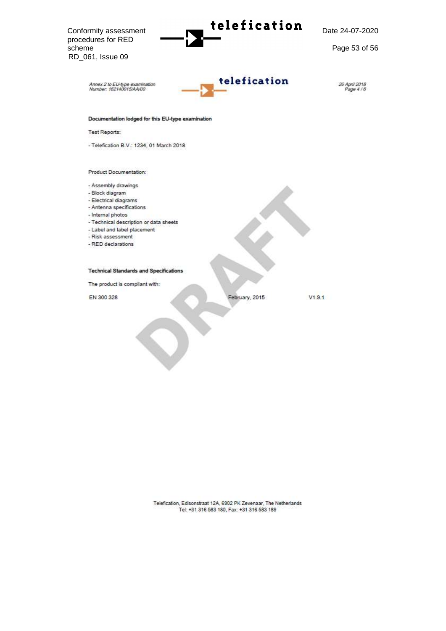$\frac{1}{\sqrt{2}}$  Conformity assessment **Date 24 and 24** -07 -2020 procedures for RED scheme Page 53 of 56 RD\_061, Issue 09telefication Annex 2 to EU-type examination<br>Number: 162140015/AA/00 26 April 2018<br>Page 4/6 Documentation lodged for this EU-type examination Test Reports: - Telefication B.V.: 1234, 01 March 2018 Product Documentation: - Assembly drawings - Block diagram - Electrical diagrams - Antenna specifications - Internal photos - Technical description or data sheets - Label and label placement - Risk assessment - RED declarations **Technical Standards and Specifications** The product is compliant with: EN 300 328 February, 2015  $V1.9.1$ 

Telefication, Edisonstraat 12A, 6902 PK Zevenaar, The Netherlands<br>Tel: +31 316 583 180, Fax: +31 316 583 189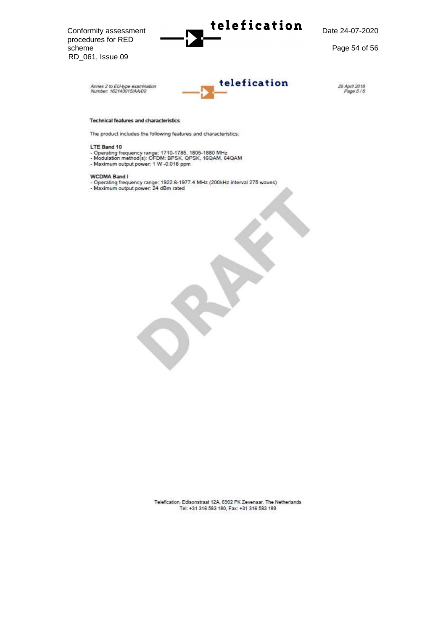$\footnotesize \textsf{Conformity assessment}$  telefication -07 -2020 procedures for RED scheme Page 54 of 56 RD\_061, Issue 09



26 April 2018<br>Page 5 / 6

#### Technical features and characteristics

The product includes the following features and characteristics:

#### LTE Band 10

- Operating frequency range: 1710-1785, 1805-1880 MHz<br>- Modulation method(s): OFDM: BPSK, QPSK, 16QAM, 64QAM
- Maximum output power: 1 W -0.018 ppm
- 

#### WCDMA Band I

- Operating frequency range: 1922.6-1977.4 MHz (200kHz interval 275 waves)<br>- Maximum output power: 24 dBm rated
- 

Telefication, Edisonstraat 12A, 6902 PK Zevenaar, The Netherlands Tel: +31 316 583 180, Fax: +31 316 583 189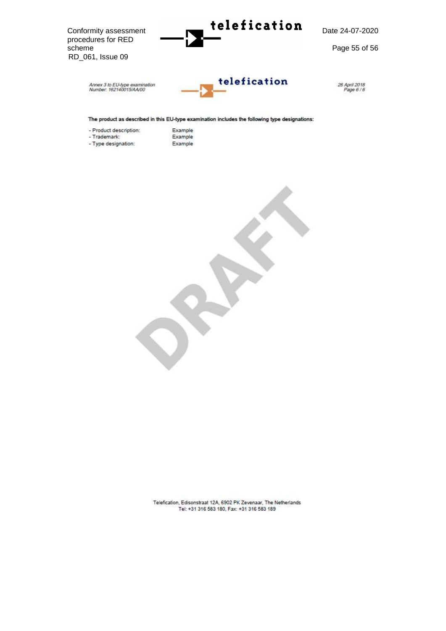

The product as described in this EU-type examination includes the following type designations:

- Product description: - Trademark:

- Type designation:
- Example Example

Example



Telefication, Edisonstraat 12A, 6902 PK Zevenaar, The Netherlands Tel: +31 316 583 180, Fax: +31 316 583 189